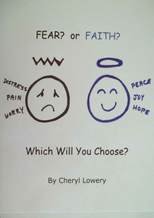# FEAR? or FAITH?

DISTRESS PEACE PAIN WORR

# Which Will You Choose?

By Cheryl Lowery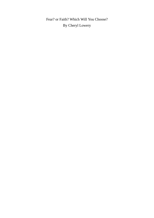Fear? or Faith? Which Will You Choose? By Cheryl Lowery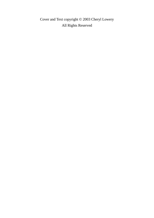Cover and Text copyright © 2003 Cheryl Lowery All Rights Reserved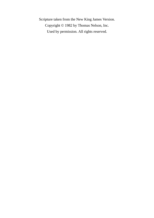Scripture taken from the New King James Version. Copyright © 1982 by Thomas Nelson, Inc. Used by permission. All rights reserved.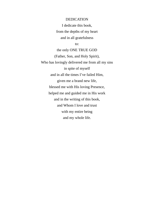DEDICATION I dedicate this book, from the depths of my heart and in all gratefulness to:

the only ONE TRUE GOD (Father, Son, and Holy Spirit), Who has lovingly delivered me from all my sins in spite of myself and in all the times I've failed Him, given me a brand new life, blessed me with His loving Presence, helped me and guided me in His work and in the writing of this book, and Whom I love and trust with my entire being and my whole life.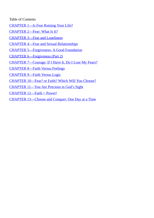#### Table of Contents

- CHAPTER 1—Is Fear Ruining Your Life?
- CHAPTER 2—Fear: What Is It?
- [CHAPTER](#page-6-0) 3—Fear and Loneliness
- [CHAPTER](#page-9-0) 4—Fear and Sexual Relationships
- CHAPTER [5—Forgiveness:](#page-16-0) A Good Foundation
- CHAPTER [6—Forgiveness](#page-25-0) (Part 2)
- CHAPTER [7—Courage:](#page-32-0) If I Have It, Do I Lose My Fears?
- [CHAPTER](#page-41-0) 8—Faith Versus Feelings
- [CHAPTER](#page-50-0) 9—Faith Versus Logic
- [CHAPTER](#page-54-0) 10—Fear? or Faith? Which Will You Choose?
- [CHAPTER](#page-58-0) 11—You Are Precious in God's Sight
- [CHAPTER](#page-62-0) 12—Faith = Power!
- CHAPTER [13—Choose](#page-66-0) and Conquer: One Day at a Time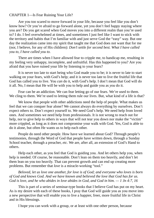### <span id="page-6-0"></span>CHAPTER 1—Is Fear Ruining Your Life?

Are you too scared to move forward in your life, because you feel like you don't know how? Or you're afraid to go forward alone, yet you don't feel happy staying where you are? Do you get scared when God moves you into a different realm than you're used to? I do. I feel overwhelmed at times, and sometimes I just feel like I want to stick with the territory and habits that I'm familiar with and just serve God the "easy" way. But one day the realization came into my spirit that taught me that God does not want that for me (nor, I believe, for any of His children): *Don't settle for second best. What I have called you to, I have called you to.*

There are times when I have allowed fear to cripple me, to handicap me, resulting in my feeling very unhappy, incomplete, and unfruitful. Has this happened to you? Are you afraid that you have ruined your life by listening to your fears?

It is never too late to start being who God made you to be; it is never to late to start walking on your fears, with God's help; and it is never too late to live the fruitful life that God has called you to live. You *can* do it, with God's help. I don't mean that God will do it all. No, I mean that He will be with you to help and guide you as *you* do it.

Fear can be an addiction. We can fear letting go of our fears. We're used to them. We cling to them. We're used to letting them rule our lives. But, what kind of a life is that?

We know that people with other addictions need the help of people. What makes us feel that we can conquer fear alone? We cannot always do everything by ourselves. Don't expect others to. Don't expect yourself to. We need God's help. We need help from loved ones. And sometimes we need help from professionals. It is not wrong to reach out for help, nor to give help to others in ways that will not tear you down nor make the "victim" more crippled, as long as it does not compromise your walk with God. Yes, God is able to do it alone, but often He wants us to help each other.

People do need other people. How have we learned about God? Through people's testimonies, through the Word of God that people have written down, through a Sunday School teacher, through a preacher, *etc.* We are, after all, an extension of God's Hand to others.

Help each other, as you feel that God is guiding you. And let others help you, when help is needed. Of course, be reasonable. Don't lean on them too heavily, and don't let them lean on you too heavily. That can prevent growth and can end up creating more problems. But remember that *love* is a miracle-working "tool."

*Beloved, let us love one another, for love is of God; and everyone who loves is born of God and knows God. And we have known and believed the love that God has for us.* God is love, and he who abides in love abides in God, and God in him.  $-1$  Jn 4:7, 16

This is part of a series of seminar-type books that I believe God has put on my heart. As is my desire with each of these books, I pray that God will guide you as you move into a new perspective that will enable you to live a happier, freer, more fruitful life in Christ and in His blessings.

I hope you can work with a group, or at least with one other person, because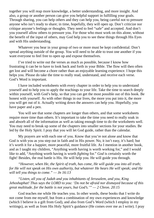together you will reap more knowledge, a better understanding, and more insight. And also, a group or another person can give you helpful support in fulfilling your goals. Through sharing, you can help others and they can help you, being careful not to pressure anyone who isn't ready to share; in time, hopefully, they will open up. Don't criticize nor critique anyone's feelings or thoughts. They need to feel "safe" and accepted. And don't you yourself allow others to pressure you. For those who must work on this alone, without the benefit of the input of others, may God help you to see these things through His Eyes and with His understanding.

Whatever you hear in your group of two or more must be kept confidential. Don't spread anything outside of the group. You will need to be able to trust one another if you want everyone to feel free to open up and expose themselves.

I've tried to write out the verses as much as possible, because I know how frustrating it can be to have to look back and forth in your Bible. The flow will then often get lost and will become a chore rather than an enjoyable learning experience. I hope this helps you. Please do take the time to really read, understand, and receive each verse. God's Word is important.

I have included worksheets with every chapter in order to help you to understand yourself and to help you to apply the teachings to your life. Take the time to search deeply within yourself, with God's help, so that you can get the most possible out of this book. Be honest with yourself. As with other things in our lives, the more you put into it, the more you will get out of it. Actually writing down the answers can help you. Hopefully, you have paper and a pen.

You will see that some chapters are longer than others, and that some worksheets require more time than others. It's important to take the time you need to really soak in and absorb all of the information as well as taking enough time to do the worksheets well. You may need to break up some of the chapters into smaller sections for your studies. Be led by the Holy Spirit. I pray that you will let God guide, rather than the calendar.

My prayers are with each one of you. Know that you're not alone and know that God is with you as you step out in faith and in His power. No, it isn't easy, it's hard; but it's worth it for a happier, more peaceful, more fruitful life. As I mention in another book, and as I taught my children, "Anything worth having is worth working for," and I would like to add, "Anything worth having is worth *fighting* for." *God* is certainly worth the fight! Besides, the real battle is His. He will help you. He will guide you through.

*"However, when He, the Spirit of truth, has come, He will guide you into all truth; for He will not speak on His own authority, but whatever He hears He will speak; and He will tell you things to come." — Jn 16:13*

*"Listen, all you of Judah and you inhabitants of Jerusalem, and you, King Jehoshaphat! Thus says the LORD to you: 'Do not be afraid nor dismayed because of this great multitude, for the battle is not yours, but God's.'" — 2 Chron. 20:15*

God teaches me while He teaches you. In other words, these books that I write do not come from me myself, but from a combination of my own experiences and knowledge (which I believe is a gift from God), and also from God's Word (which I employ in my writings), as well as from His Holy Spirit's guidance (He comes over me as I write). I pray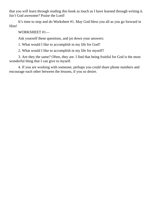that you will learn through reading this book as much as I have learned through writing it. Isn't God awesome? Praise the Lord!

It's time to stop and do Worksheet #1. May God bless you all as you go forward in Him!

## WORKSHEET #1—

Ask yourself these questions, and jot down your answers:

1. What would I like to accomplish in my life for God?

2. What would I like to accomplish in my life for myself?

3. Are they the same? Often, they are. I find that being fruitful for God is the most wonderful thing that I can give to myself.

4. If you are working with someone, perhaps you could share phone numbers and encourage each other between the lessons, if you so desire.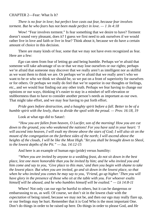#### <span id="page-9-0"></span>CHAPTER 2—Fear: What Is It?

*There is no fear in love; but perfect love casts out fear, because fear involves torment. But he who fears has not been made perfect in love. — 1 Jn 4:18*

Wow! "Fear involves torment." Is fear something that we desire to have? Torment doesn't sound very pleasant, does it? I guess we first need to ask ourselves if we would rather live in love and faith or live in fear? Think about it, because we do have a certain amount of choice in this decision.

There are many kinds of fear, some that we may not have even recognized as fear. Here are a few:

*Ego* can stem from fear of letting go and being humble. Perhaps we're afraid that someone will take advantage of us or that we may lose ourselves or our rights; perhaps we're afraid that someone may discover that we really aren't as intelligent nor as skillful as we want them to think we are. Or perhaps we're afraid that we really aren't who we want to be or who we think we should be, so we put on a front of superiority for ourselves or for others. Or perhaps we really do feel that we're superior in our thoughts or feelings, etc., and we would fear finding out any other truth. Perhaps we fear having to change our opinions or our ways, thinking it's easier to stay in a mindset of self-elevation or stubbornness than to have to consider another person's needs as important as our own. That might take effort, and we may fear having to put forth effort.

*Pride goes before destruction, and a haughty spirit before a fall. Better to be of a humble spirit with the lowly, than to divide the spoil with the proud. — Prov. 16:18, 19*

Look at what ego did to Satan!:

*"How you are fallen from heaven, O Lucifer, son of the morning! How you are cut down to the ground, you who weakened the nations! For you have said in your heart: 'I* will ascend into heaven, I will exalt my throne above the stars of God; I will also sit on the *mount of the congregation on the farthest sides of the north; I will ascend above the heights of the clouds, I will be like the Most High.'Yet you shall be brought down to Sheol, to the lowest depths of the Pit." — Isa. 14:12-15*

And here is an example of human ego (pride) versus humility:

*"When you are invited by anyone to a wedding feast, do not sit down in the best place, lest one more honorable than you be invited by him; and he who invited you and him come and say to you, 'Give place to this man,' and then you begin with shame to take the lowest place. But when you are invited, go and sit down in the lowest place, so that when he who invited you comes he may say to you, 'Friend, go up higher.'Then you will have glory in the presence of those who sit at the table with you. For whoever exalts himself will be abased, and he who humbles himself will be exalted." — Lk 14:8-11*

Whew! Not only can our ego be hurtful to others, but it can be dangerous or embarrassing to us, as well. Of course, we don't sit in the lowest chair with the *expectation* of being raised, because we may not be, and then our ego may really flare up, or our feelings may be hurt. Remember that it is God Who is the most important One. Don't do things in order to be raised up here. Do things in order to please God, and *He*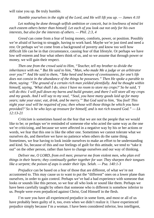will raise you up. Be truly humble.

*Humble yourselves in the sight of the Lord, and He will lift you up. — James 4:10*

*Let nothing be done through selfish ambition or conceit, but in lowliness of mind let each esteem others better than himself. Let each of you look out not only for his own interests, but also for the interests of others. — Phil. 2:3, 4*

*Greed* can come from a fear of losing money, comforts, power, or position. Possibly we're afraid of having to struggle, having to work hard. Maybe we're just tired and need a rest. Or perhaps we've come from a background of poverty and know too well how difficult life can be in that circumstance, causing fear of that lifestyle. Or perhaps we have low self-esteem and fear what others think of us, and so we assume that through power or money, we will gain their respect.

*Then one from the crowd said to Him, "Teacher, tell my brother to divide the inheritance with me." But He said to him, "Man, who made Me a judge or an arbitrator over you?" And He said to them, "Take heed and beware of covetousness, for one's life does not consist in the abundance of the things he possesses." Then He spoke a parable to them, saying: "The ground of a certain rich man yielded plentifully. And he thought within himself, saying, 'What shall I do, since I have no room to store my crops?' So he said, 'I* will do this: I will pull down my barns and build greater, and there I will store all my crops *and my goods. And I will say to my soul, "Soul, you have many goods laid up for many years; take your ease; eat, drink, and be merry."'But God said to him, 'You fool! This night your soul will be required of you; then whose will those things be which you have provided?' So is he who lays up treasure for himself, and is not rich toward God." — Lk 12:13-21*

*Criticism* is sometimes based on the fear that we are not the people that we would like to be; or perhaps we're reminded of someone else who acted the same way as the one we're criticizing, and because we were affected in a negative way by his or her actions or words, we fear that this one is like the other one. Sometimes we cannot tolerate what we ourselves do, and therefore we have no patience when others do the same thing. Sometimes, we fear having to look inside ourselves to make an effort to be understanding and kind. So, because of this and our feelings of guilt for this attitude, we tend to "take it out" on the other person, rather than have to change ourselves and our way of thinking.

## *Deliver me, O LORD, from evil men; preserve me from violent men, who plan evil things in their hearts; they continually gather together for war. They sharpen their tongues like a serpent; the poison of asps is under their lips. Selah. — Psa. 140:1-3*

*Prejudice* can be based on a fear of those that are different, of what we're not accustomed to. This may cause us to want to put the "different" ones on a lower plane than ourselves, in order to gain control. Perhaps we've had a bad experience with someone that looks or sounds like this person, so we fear all who look or sound like them. Perhaps we have been carefully taught by others that someone who is different is somehow inferior to us. People were even prejudiced against Christ, God Himself in the flesh.

I'm sure you have all experienced prejudice in some form, and most or all of us have probably been guilty of it, too, even when we didn't realize it. I have experienced prejudice simply because I'm a woman. I have been considered inferior, less intelligent,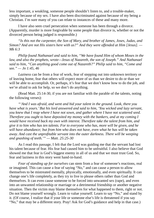less important, a weakling, someone people shouldn't listen to, and a trouble-maker, simply because of my sex. I have also been discriminated against because of my being a Christian. I'm sure many of you can relate to instances of these and many more.

I have also seen cruel persecution when someone has been through a divorce. (Apparently, murder is more forgivable by some people than divorce is, whether or not the divorced person being judged is responsible.)

*"Is this not the carpenter, the Son of Mary, and brother of James, Joses, Judas, and Simon? And are not His sisters here with us?" And they were offended at Him [Jesus]. — Mk 6:3*

*Philip found Nathanael and said to him, "We have found Him of whom Moses in the law, and also the prophets, wrote—Jesus of Nazareth, the son of Joseph." And Nathanael said to him, "Can anything good come out of Nazareth?" Philip said to him, "Come and see." — Jn 1:45, 46*

*Laziness* can be from a fear of work, fear of stepping out into unknown territory or of leaving home, fear that others will expect more of us than we desire to do or than we will be able to accomplish. Or, perhaps, it's fear that we don't know how to do the job, and we're afraid to ask for help, so we don't do anything.

(Read Matt. 25:14-30, if you are not familiar with the parable of the talents, noting the following verses):

*"'And I was afraid, and went and hid your talent in the ground. Look, there you have what is yours.'But his lord answered and said to him, 'You wicked and lazy servant, you knew that I reap where I have not sown, and gather where I have not scattered seed. Therefore you ought to have deposited my money with the bankers, and at my coming I would have received back my own with interest. Therefore take the talent from him, and give it to him who has ten talents. For to everyone who has, more will be given, and he will have abundance; but from him who does not have, even what he has will be taken away. And cast the unprofitable servant into the outer darkness. There will be weeping and gnashing of teeth.'" — Matt. 25:25-30*

As I read this passage, I felt that the Lord was guiding me that the servant had lost his talent because of fear. His fear had caused him to be unfruitful. I also believe that God showed me that fear is God's biggest enemy in all of us and that we must trust God. So, fear and laziness in this story went hand-in-hand.

*Fear of standing up for ourselves* can stem from a fear of someone's reactions, real or imagined. This can cause a fear of saying "No," and can cause a person to allow themselves to be mistreated mentally, physically, emotionally, and even spiritually. It can change one's life completely, as they try to live to please others rather than God and themselves. It can even cause someone to be forced into unwanted sex (rape), and even into an unwanted relationship or marriage or a detrimental friendship or another negative situation. Then the victim may blame themselves for what happened to them, right or not. Do not blame yourself wrongly. Learn to value yourself. Learn to say "No," and stand by it. (Of course, I realize that if your life or someone else's life is threatened if you say "No," that may be a different story. Pray! Ask for God's guidance and help in that case.)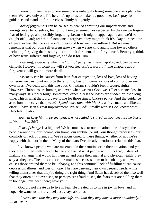I know of many cases where someone is unhappily living someone else's plans for them. We have only one life here. It's up to us to make it a good one. Let's pray for guidance and stand up for ourselves, firmly but gently.

*Lack of forgiveness* can be caused by fear of admitting our imperfections and wrongs, even to ourselves; fear of not being esteemed nor respected by the one we forgive; fear of letting go and possibly forgetting, because it might happen again, and we'd be caught off-guard; fear that if someone is forgiven, they might think it's okay to repeat the offense; or fear that people won't understand how we have suffered. But we must remember that our own self-esteem grows when we are kind and loving toward others, including forgiving them, so if you can't do it for them, do it for yourself. Better yet, think of how Jesus suffered and forgave, and do it for Him.

Forgiving, especially when the "guilty" party hasn't even apologized, can be very difficult. However, if forgiving will set you free, isn't it worth it? The chapters about forgiveness will go into more detail.

*Insecurity* can be caused from fear: fear of rejection, loss of love, loss of having someone we can count on to be there for us, loss of income, or loss of control over our own lives. I've dealt with this one a lot. Christians shouldn't feel insecure, right? However, Christians are human, and even when we trust God, we still experience loss in many ways. It's really tough sometimes, especially if the losses are sudden or last a long time. This is what the Lord gave to me for those times: *Choose peace.* And the guidance as to how to receive that peace?: *Spend more time with Me.* So, as I've made a deliberate effort, I have seen a great improvement. Praise God! It really works! God knows what He's talking about!

*You will keep him in perfect peace, whose mind is stayed on You, because he trusts in You. — Isa. 26:3*

*Fear of change* is a big one! We become used to our situation, our lifestyle, the people around us, our income, our home, our routine (or rut), our thought processes, our comforts or lack of them, *etc.* We're accustomed to these things, whether or not we're happy with them or in them. Many of the fears I've already mentioned relate to this fear.

I've known people who are miserable in their routine or in their situation, and yet they are so filled with fear of change and fear of what people will think that, instead of making a change that would lift them up and bless their mental and physical health, they stay as they are. Then this choice to remain as is causes them to be unhappy and even causes those around them to be unhappy, and this continual lack of fulfillment can cause depression, illness, and loss of hope. They are denying their own deepest needs, while telling themselves that they're doing the right thing. And Satan has deceived them so well that they often don't even see, or perhaps are afraid to see, the fears that are holding them in bondage. I've been there; have you?

God did not create us to live in fear. He created us to live in joy, in love, and in hope. He wants us to truly live! Jesus says about us,

*"I have come that they may have life, and that they may have it more abundantly." — Jn 10:10*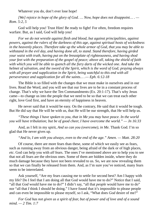Whatever you do, don't ever lose hope!

*[We] rejoice in hope of the glory of God. … Now, hope does not disappoint… . — Rom. 5:2, 5*

God will help you! Trust Him! Be ready to fight! For often, freedom requires warfare. But, as I said, God will help you!

*For we do not wrestle against flesh and blood, but against principalities, against powers, against the rulers of the darkness of this age, against spiritual hosts of wickedness in the heavenly places. Therefore take up the whole armor of God, that you may be able to withstand in the evil day, and having done all, to stand. Stand therefore, having girded your waist with truth, having put on the breastplate of righteousness, and having shod your feet with the preparation of the gospel of peace; above all, taking the shield of faith with which you will be able to quench all the fiery darts of the wicked one. And take the helmet of salvation, and the sword of the Spirit, which is the word of God; praying always with all prayer and supplication in the Spirit, being watchful to this end with all perseverance and supplication for all the saints… .— Eph. 6:12-18*

The Bible is so filled with the changes that we must make in ourselves and in our lives. Read the Word, and you will see that our lives are to be in a constant process of change. That's why we have the Ten Commandments (Ex. 20:1-17). That's why Jesus came—to change us into the people that we need to be so that we can treat each other right, love God first, and have an eternity of happiness in heaven.

He never said that it would be easy. On the contrary, He said that it would be tough. But He did say that He will be with us, that He will be our strength, that He will help us.

*"These things I have spoken to you, that in Me you may have peace. In the world you will have tribulation; but be of good cheer, I have overcome the world." — Jn 16:33*

And, as I felt in my spirit, *And so can you (overcome), in Me.* Thank God. I'm so glad that He never gives up.

*"And lo, I am with you always, even to the end of the age." Amen. — Matt. 28:20*

Of course, there are more fears than these, some of which we easily see as fears, such as running away from an obvious danger, being afraid of the dark or of high places, *etc.* God can help you with *all* fears. The ones I've mentioned above are to help you to see that not all fears are the obvious ones. Some of them are hidden inside, where they do much damage because they have not been revealed to us. So, we are now revealing them so that we can finally be released from them. And, as I'm sure you've noticed, many fears seem to be interrelated.

Ask yourself, "Are my fears causing me to settle for second best? Am I happy with my life? Do I feel that I am doing all that God would have me to do?" Notice that I said, "all that *God* would have me to do?" I didn't say, "all that *people* would have me to do" nor "all that *I* think I should be doing." I have found that it's impossible to please people and can even be impossible to please myself, so I ask, "What does *God* desire of me?"

*For God has not given us a spirit of fear, but of power and of love and of a sound mind. — 2 Tim. 1:7*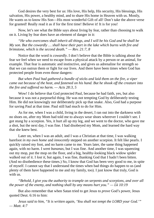God desires the very best for us: His love, His help, His security, His blessings, His salvation, His power, a healthy mind, and to share His home in Heaven with us. Mostly, He wants us to know His Son—His most wonderful Gift of all! Don't take the above verse for granted! Really read it as if for the first time! Believe it! It is for you!

Now, let's see what the Bible says about living by fear, rather than choosing to walk on it. Living by fear does have an element of danger in it:

*"He who overcomes shall inherit all things, and I will be his God and he shall be My son. But the cowardly … shall have their part in the lake which burns with fire and brimstone, which is the second death." — Rev. 21:7, 8*

Notice that the word is *cowardly*. I don't believe that the Bible is talking about the fear we feel when we need to escape from a physical attack by a person or an animal, for example. That fear is automatic and instinctive, and gives us adrenaline for strength so that we can outrun them or fight for our lives. And there have been times when God has protected people from even those dangers:

*But when Paul had gathered a bundle of sticks and laid them on the fire, a viper came out because of the heat, and fastened on his hand. But he shook off the creature into the fire and suffered no harm. — Acts 28:3, 5*

Wow! I do believe that God protected Paul, because he had faith, yes, but also because it was not a purposeful thing. He was not tempting God by deliberately testing Him. He did not knowingly nor deliberately pick up that snake. Also, God had a purpose for saving Paul at that time. Paul still had much to do for Him.

As for me, when I was a child, living in the desert, I ran out into the darkness with no shoes on, after my Mom had told me to always wear shoes wherever I couldn't see. I got stung by a scorpion. Yes, it hurt all up my leg, and we went to the doctor, who gave me a shot, but the next day, I was fine. I had disobeyed my Mom, and learned the hard way that she knew best.

Later on, when I was an adult, and I was a Christian at that time, I was walking barefoot *in my own home* and *innocently* stepped on another scorpion. It felt like pearls. I quickly raised my foot, and no harm came to me. Years later, the same thing happened again, with no harm. I *went bananas*, but I was fine. And another time, I was squeezing out my mop, put the mop on the floor, and a big, healthy-looking black widow spider walked out of it. I *lost it*, but again, I was fine, thanking God that I hadn't been bitten. (And no disobedience these times.) So, I know that God has been very good to me, in spite of myself. I cannot say that I understand the times when bad things do happen to us (and plenty of them have happened to me and my family, too). I just know that truly, God is with us.

*"Behold, I give you the authority to trample on serpents and scorpions, and over all the power of the enemy, and nothing shall by any means hurt you." — Lk 10:19*

But also remember that when Satan tried to get Jesus to *prove* God's power, Jesus quoted Deut. 6:16 to him:

*Jesus said to him, "It is written again, 'You shall not tempt the LORD your God.'" — Matt. 4:7*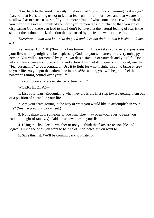Now, back to the word *cowardly*. I believe that God is not condemning us if we *feel* fear, but that He is telling us not to let that fear run nor ruin our lives, and that we are not to allow fear to cause us to sin. If you're more afraid of what someone else will think of you than what God will think of you, or if you're more afraid of change than you are of displeasing God, these can lead to sin. I don't believe that the natural feeling of fear is the sin, but the action or lack of action that is caused by the fear is what can be sin.

*Therefore, to him who knows to do good and does not do it, to him it is sin. — James 4:17*

Remember 1 Jn 4:18 ("Fear involves torment")? If fear takes you over and possesses your life, not only might you be displeasing God, but you will surely be a very unhappy person. You will be tormented by your own dissatisfaction of yourself and your life. Don't let your fears cause you to avoid life and action. Don't let it conquer you. Instead, use that "fear adrenaline" to be a conqueror. Use it to fight for what's right. Use it to bring energy to your life. As you put that adrenaline into *positive* action, you will begin to feel the power of gaining control over your life.

It's your choice: Mere existence or true living?

WORKSHEET #2—

1. List your fears. Recognizing what they are is the first step toward getting them out of a position of control in your life.

2. Are your fears getting in the way of what you would like to accomplish in your life? (See the previous worksheet.)

3. Now, share with someone, if you can. They may open your eyes to fears you hadn't thought of (and v/v). Add those new ones to your list.

4. Using this list, decide whether or not you think the fears are reasonable and logical. Circle the ones you want to be free of. Add notes, if you want to.

5. Save this list. We'll be coming back to it later on.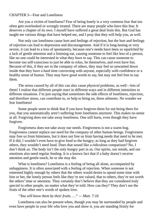#### <span id="page-16-0"></span>CHAPTER 3—Fear and Loneliness

Are you a victim of loneliness? Fear of being lonely is a very common fear that too often gets overlooked or wrongly treated. There are many people who have this fear. It deserves a chapter of its own. I myself have suffered a great deal from this. But God has taught me various things that have helped me, and I pray that they will help you, as well.

Not only can loneliness cause hurt and feelings of rejection, but the hurt and feelings of rejection can lead to depression and discouragement. And if it is long-lasting or very severe, it can lead to a loss of spontaneity, because one's needs have been so squelched by a lack of gentle attention and a listening ear, causing someone to feel like less of a person, like no one could be interested in what they have to say. This can cause someone to become too self-conscious to just be able to relax, be themselves, and even have fun. Because of this, if they are in the company of others, they may feel so unwanted down inside that they have a hard time conversing with anyone, especially with confidence or a healthy sense of humor. They may have good words to say, but may not feel free to say them.

The stress caused by all of this can also cause *physical* problems, as well—lots of them! I realize that different people react in different ways and in different intensities to different situations. I'm just saying that sometimes the side effects of loneliness, rejection, and therefore stress, can contribute to, or help to bring on, these ailments. No wonder we fear loneliness!

Some people seem to think that if you have forgiven them for not being there for you, that you automatically aren't suffering from loneliness anymore. This makes no sense at all. Forgiving does not take away loneliness. One still hurts, even though they have forgiven.

Forgiveness does not take away our needs. Forgiveness is not a warm hug. Forgiveness cannot replace our need for the company of other human beings. Forgiveness may free us from bitterness, but it does not free us from having needs that need to be met. If it did, I wouldn't even have to give food to the hungry; as long as they had forgiven others, they wouldn't need food. Does that sound like a ridiculous comparison? No, I don't think so. The body isn't the only hungry part in us. Our spirits, our minds, and our emotions also need regular feeding. It is a known fact that if a baby doesn't receive attention and gentle touch, he or she may die.

What is loneliness? Loneliness is a feeling of being all alone, accompanied by unhappiness. It is often associated with a feeling of rejection. When someone is not esteemed highly enough by others that the others would desire to spend some time with him or her, the lonely person feels like they're not valued, that to others, they're not worth the others' time or attention. They certainly don't believe that they are considered truly *special* to other people, no matter what they're told. How can they? They don't see the fruits of the other one's words of spoken love.

#### *"You will know them by their fruits. …" — Matt. 7:16*

Loneliness can also be present when, though you may be surrounded by people and even have people in your life who love you and show it, you are standing firmly for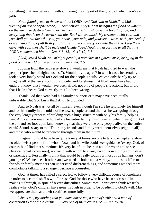something that you believe in without having the support of the group of which you're a part.

*Noah found grace in the eyes of the LORD. And God said to Noah," … Make yourself an ark of gopherwood; … And behold, I Myself am bringing the flood of waters on the earth, to destroy from under heaven all flesh in which is the breath of life; and everything that is on the earth shall die. But I will establish My covenant with you; and you shall go into the ark—you, your sons, your wife, and your sons'wives with you. And of* every living thing of all flesh you shall bring two of every sort into the ark, to keep them *alive with you; they shall be male and female." And Noah did according to all that the LORD commanded him. — Gen. 6:8, 13, 14, 17-19; 7:5*

*[God] saved Noah, one of eight people, a preacher of righteousness, bringing in the flood on the world of the ungodly. . . . — 2 Pet. 2:5*

Judging from the last verse above, I would say that Noah had tried to warn the people ("preacher of righteousness"). Wouldn't you agree? In which case, he certainly took a very lonely stand for God and for the people's souls. We can only barely try to imagine all of the jeers, scoffing, ridicule, and loneliness that Noah must have had to endure. I know that I would have been afraid, not only of people's reactions, but afraid that I hadn't heard God correctly, that I'd been wrong.

Thank God that Noah had his family's support or it may have been totally unbearable. But God knew that! And He provided.

And so Noah was not all by himself, even though I'm sure he felt lonely for himself and for his family in the midst of the townspeople around them as he was going through the very lengthy process of building such a huge structure with only his family helping him. And can you imagine how alone his entire family must have felt when they got out of the ark and set foot upon land, knowing that they were the only people alive on the entire earth? Sounds scary to me! Their only friends and family were themselves (eight in all) and those who would be produced through them in the future.

Imagine! It must have been quite lonely at times: no one to talk to except a relative; no older, wiser person from whom Noah and his wife could seek guidance (except God, of course, but I find that sometimes it's very helpful to hear an audible voice and to see a physical facial expression); no friend with whom to share, except your siblings or in-laws or parents, *etc.* Personally, I think that would be really tough for most of us humans, don't you agree? We need each other, and we need a choice and a variety, at times—different friends or family members can understand different things, and sometimes we feel more comfortable talking to a stranger, perhaps a counselor.

God, at times, has called a select few to follow a very difficult course of loneliness in order to accomplish His will. I praise God for those who have been successful in making it through, in spite of severe difficulties. Sometimes I don't even think we truly realize what God's children have gone through in order to be obedient to God's will. May we appreciate them and their sacrifices more fully.

*Woe is me, my mother, that you have borne me, a man of strife and a man of contention to the whole earth! … Every one of them curses me. — Jer. 15:10*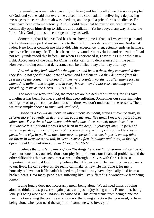Jeremiah was a man who was truly suffering and feeling all alone. He was a prophet of God, and yet he said that everyone cursed him. God had him delivering a depressing message to the earth. Jeremiah was obedient, and he paid a price for his obedience. He must have been extremely lonely. And I would think that he must have been afraid to continually open himself up to ridicule and retaliation. Yet he obeyed, anyway. Praise the Lord! May God grant us the courage to obey, as well.

Something that I believe God has been showing me is that, as I *accept* the pain and the loneliness as a part of my sacrifice to the Lord, it loses its power over me. And so, it fades. It no longer controls me like it did. This acceptance, then, actually ends up having a positive effect on my life. This has been a truly wonderful revelation and realization. I had not really understood this before. But when I experienced it, I saw things in a whole new light. Acceptance of the pain, for Christ's sake, can bring deliverance from the pain. However, holding onto that deliverance can be difficult day after day after day.

*And when they had called for the apostles and beaten them, they commanded that they should not speak in the name of Jesus, and let them go. So they departed from the presence of the council, rejoicing that they were counted worthy to suffer shame for His name. And daily in the temple, and in every house, they did not cease teaching and preaching Jesus as the Christ. — Acts 5:40-42*

The more we work for God, the more we are blessed with suffering for His sake. Loneliness has been, for me, a part of that deep suffering. Sometimes our suffering helps us to grow or to gain compassion, but sometimes we don't understand the reasons. Then, we must simply choose to trust God. Paul said,

*I speak as a fool—I am more: in labors more abundant, stripes above measure, in prisons more frequently, in deaths often. From the Jews five times I received forty stripes minus one. Three times I was beaten with rods; once I was stoned; three times I was shipwrecked; a night and a day I have been in the deep; in journeys often, in perils of water, in perils of robbers, in perils of my own countrymen, in perils of the Gentiles, in perils in the city, in perils in the wilderness, in perils in the sea, in perils among false brethren; in weariness and toil, in sleeplessness often, in hunger and thirst, in fastings often, in cold and nakedness… . — 2 Corin. 11:23-27*

I believe that our "shipwrecks," our "beatings," and our "imprisonments" can be our fears, our loneliness, our rejections, our physical problems, our financial problems, and the other difficulties that we encounter as we go through our lives with Christ. It is so important that we trust God. I truly believe that His peace and His healings can add years to our lives. He can revive us. He really can make us new. He has done it for me. I honestly believe that if He hadn't helped me, I would truly have physically died from a broken heart. How many people are suffering like I've suffered? No wonder we fear being lonely!

Being lonely does not necessarily mean being alone. We all need times of being alone to think, relax, pray, rest, gain peace, and just enjoy being alone. Remember, being lonely is being alone and *unhappy* because of it. This often stems from being alone too much, not receiving the positive attention nor the loving affection that you need, or from being alone when you need the support of someone who loves you.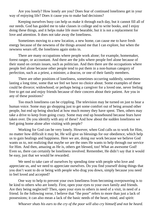Are you lonely? How lonely are you? Does fear of continued loneliness get in your way of enjoying life? Does it cause you to make bad decisions?

Keeping ourselves busy can help us make it through each day, but it cannot fill all of our needs. God has guided me to take classes in college and to write books, and I enjoy doing these things, and it helps make life more bearable, but it is not a replacement for love and attention. It does not take away the loneliness.

Sometimes moving to a new location, a new home, can cause me to have fresh energy because of the newness of the things around me that I can explore, but when the newness wears off, the loneliness again sinks in.

There are many occupations where people work alone; for example, homemaker, forest ranger, or accountant. And there are the jobs where people feel alone because of their stand on certain issues, such as politician. And then there are the occupations where people feel alone because other people tend to put them in a non-human category of perfection, such as a priest, a minister, a deacon, or one of their family members.

There are other positions of loneliness, sometimes occurring suddenly, sometimes lasting a long time, some that we feel we have no choice about. Some examples of these could be divorce; widowhood; or perhaps being a caregiver for a loved one, never feeling free to get out and enjoy friends because of their concern about their patient. Are you in any of these positions?

Too much loneliness can be crippling. The television may be turned on just to hear a human voice. Some may go shopping just to get some comfort out of being around other people, but end up being shocked at how much money they have spent. Then, others may take a drive to keep from going crazy. Some may end up housebound because fears have taken over. Do you identify with any of these? And how about the sudden loneliness we feel going home alone after visiting with people?

Working for God can be very lonely. However, when God calls us to work for Him, no matter how difficult it may be, He will give us blessings for our obedience, which help us to gain healings and happiness. Here we are, doing our work because we believe God wants us to, not realizing that maybe *we* are the ones He wants to help through our service for Him. And then, amazing as He is, others get blessed, too! What an awesome God! Even so, there can certainly be loneliness involved. Remember, He didn't say that it would be easy, just that we would be rewarded.

We need to take care of ourselves by spending time with people who love and appreciate us, and we need to appreciate ourselves. Do you find yourself doing things that you don't want to do or being with people who drag you down, simply because you need to feel loved and accepted?

One way to help to prevent your own loneliness from becoming overpowering is to be kind to others who are lonely. First, open your eyes to your own family and friends. Are they being neglected? Then, open your eyes to others in need of a visit, in need of a friend. In the following verse, I believe that "the poor" refers to more than just a lack of possessions; it can also mean a lack of the basic needs of the heart, mind, and spirit:

*Whoever shuts his ears to the cry of the poor will also cry himself and not be heard.*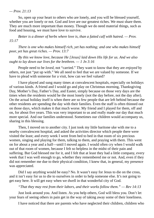#### *— Prov. 21:13*

So, open up your heart to others who are lonely, and you will be blessed yourself, whether you are lonely or not. God and love are our greatest riches. We must share them. They are much more important than money. Though we do need material things, such as food and housing, we must have love to survive.

*Better is a dinner of herbs where love is, than a fatted calf with hatred. — Prov. 15:17*

*There is one who makes himself rich, yet has nothing; and one who makes himself poor, yet has great riches. — Prov. 13:7*

*By this we know love, because He [Jesus] laid down His life for us. And we also ought to lay down our lives for the brethren. — 1 Jn 3:16*

People need to be *loved*, not "carried." They want to know that they are *enjoyed* by others, not just "put up with." We all need to feel that we are valued by someone. If we have to plead with someone for a visit, how can we feel valued?

I have played and sung many times at convalescent hospitals, especially on holidays of various kinds. A friend and I would go and play on Christmas morning, Thanksgiving Day, Mother's Day, Father's Day, and Easter, simply because on those very days are the times when the residents would be the most lonely (not the day before, not the day after). On the actual holiday itself is when there are so few people that are left behind because the other residents are spending the day with their families. Even the staff is often thinned out on those days, which makes it that much worse. My friend and I played for them, off and on, for about five years. This was very important to us and really made our day that much more special. And our families understood. Sometimes our children would accompany us, sharing in this blessing.

Then, I moved on to another city. I just took my little baritone uke with me to a nearby convalescent hospital, and asked the activities director which people there were visited the least; and every week I went from bed to bed in that room of six precious women, singing and playing for them, talking to them, and praying with them. This went on for about a year and a half—until I moved again. I would often cry when I would walk out of that room of women, because I felt so helpless in the midst of their pain and suffering. But God blessed me for it, and I felt that at least they had a little company, every week that I was well enough to go, whether they remembered me or not. And, even if they did not remember me due to their physical condition, I knew that, in general, my presence was appreciated.

Did I say anything would be easy? No. It wasn't easy for Jesus to die on the cross, and it isn't easy for us to die to ourselves in order to help someone else. It's not going to get easy here. It will get easy when we dwell in that wonderful city of God.

*"That they may rest from their labors, and their works follow them." — Rev 14:13*

Just look around you. And listen. As you help others, God will bless you. Don't let your fears of seeing others in pain get in the way of taking away some of their loneliness.

I have noticed that there are parents who have neglected their children, children who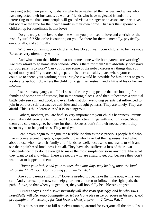have neglected their parents, husbands who have neglected their wives, and wives who have neglected their husbands, as well as friends who have neglected friends. It is interesting to me that some people will go and visit a stranger or an associate or relative, but not take the time for their own family in their own home. That sets their spouse or children up for loneliness. Is that love?

Do you truly show love to the one whom you promised to love and cherish for the rest of your life? She or he is counting on you. Be there for them—mentally, physically, emotionally, and spiritually.

Who are you raising your children to be? Do you want your children to be like you? Because, very often, they will be.

And what about the children that are home alone while both parents are working? Are they afraid to go home after school? Who is there for them? Is it absolutely necessary for both parents to work? Can you forego some of the not-so-necessary things that you spend money on? If you are a single parent, is there a healthy place where your child could go to spend your working hours? Maybe it would be possible for him or her to go to a safe after-school job, where the child could gain self-esteem and a little of his or her own income.

I see so many gangs, and I feel so sad for the young people that are looking for family and some sort of purpose, but in the wrong places. And then, it becomes a spiritual battle between evil and good, and even kids that do have loving parents get influenced to join in on these self-destructive activities and thought patterns. They are lonely. They are afraid. This is their defense. And it is so dangerous.

Fathers, mothers, you are *both* so very important to your child's happiness. Parents *can* make a difference! Get involved! Do constructive things with your children. Show them you care enough to be there for them. Excuses don't fill their needs, even if they seem to you to be good ones. They need *you*!

I can't even begin to imagine the terrible loneliness those precious people feel who live in convalescent hospitals, especially those who have lost their spouses. And what about those who lose their family and friends, as well, because no one wants to visit and see their pain? And loneliness isn't all. They have also suffered a loss of their own independence: they don't even get to make the most simple decisions anymore, like what they want to eat and when. There are people who are afraid to get old, because they don't want that to happen to them.

### *"Honor your father and your mother, that your days may be long upon the land which the LORD your God is giving you." — Ex. 20:12*

Are your parents still living? Love is needed. Love. Take the time now, while you can. And your example now can help your own children to follow in the right path, the path of love, so that when you get older, they will hopefully be a blessing to *you*.

*But this I say: He who sows sparingly will also reap sparingly, and he who sows bountifully will also reap bountifully. So let each one give as he purposes in his heart, not grudgingly or of necessity; for God loves a cheerful giver. — 2 Corin. 9:6, 7*

This does not mean to kill ourselves running around for everyone all the time. Jesus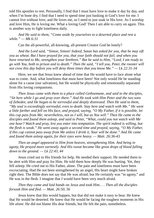told His apostles to rest. Personally, I find that I must have love to make it day by day, and when I'm bone dry, I find that I need to spend time just basking in God's love for me. I cannot live without love, and He loves me, so I need to just soak in His love. As I worship and love Him, He is loving *me*. What a loving God! Then I am able to carry on again. This is another way to fight loneliness daily.

*And He said to them, "Come aside by yourselves to a deserted place and rest a while." — Mk 6:31*

Can the all-powerful, all-knowing, all-present Creator God be lonely?

*And the Lord said, "Simon, Simon! Indeed, Satan has asked for you, that he may sift you as wheat. But I have prayed for you, that your faith should not fail; and when you have returned to Me, strengthen your brethren." But he said to Him, "Lord, I am ready to* go with You, both to prison and to death." Then He said, "I tell you, Peter, the rooster will *not crow this day before you will deny three times that you know Me." — Lk 22:31-34*

Here, we see that Jesus knew ahead of time that He would have to face alone what was to come. And, what loneliness that must have been! Not only would He be standing alone for a cause (our salvation), but He would be physically and emotionally separated from His loving companions.

*Then Jesus came with them to a place called Gethsemane, and said to the disciples, "Sit here while I go and pray over there." And He took with Him Peter and the two sons of Zebedee, and He began to be sorrowful and deeply distressed. Then He said to them, "My soul is exceedingly sorrowful, even to death. Stay here and watch with Me." He went* a little farther and fell on His face, and prayed, saying, "O My Father, if it is possible, let *this cup pass from Me; nevertheless, not as I will, but as You will." Then He came to the disciples and found them asleep, and said to Peter, "What, could you not watch with Me one hour? Watch and pray, lest you enter into temptation. The spirit indeed is willing, but the flesh is weak." He went away again a second time and prayed, saying, "O My Father, if this cup cannot pass away from Me unless I drink it, Your will be done." And He came and found them asleep again, for their eyes were heavy. — Matt. 26:36-43*

*Then an angel appeared to Him from heaven, strengthening Him. And being in agony, He prayed more earnestly. And His sweat became like great drops of blood falling down to the ground. — Lk 22:43, 44*

Jesus cried out to His friends for help. He needed their support. He needed them to be alert with Him and pray for Him. He told them how deeply He was hurting. Yet, they fell asleep. He cried out to His Father, alone. The pain and loneliness must have been excruciating. Had He not been strengthened by an angel, His heart might have broken right then. The Bible does not say that He was afraid, but He certainly was "in agony," and He was in the flesh. I imagine that *I* would have been very much afraid.

## *Then they came and laid hands on Jesus and took Him… . Then all the disciples forsook Him and fled. — Matt. 26:50, 56*

Jesus knew that this would happen, but that did not make it easy to bear. He knew that He would be deserted. He knew that He would be facing the toughest moments in His life *alone*. He did not blame His dear friends, but He felt the pain, nonetheless.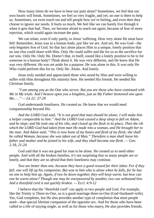How many times do we have to bear our pain alone? Sometimes, we feel that our own hearts will break. Sometimes, we feel so very fragile, and yet, no one is there to help us. Sometimes, we even reach out and tell people how we're feeling, and even then they choose to ignore our needs. It hurts so much. We feel like we can barely live through it when it gets that bad. Then, we become afraid to reach out again, because of fear of more rejection, which would again increase the pain.

We can relate, even if only partly, to Jesus' suffering. How very alone He must have felt! Remember, Jesus was in a human body, just like we are. And yet, He was God—the *only* begotten Son of God. So that fact alone places Him in a unique, lonely position that no one else could share with Him. Only He could suffer and die for us as the sacrifice for our sins. Only He. Only He. Doesn't that, in itself, sound like a lonely position to be in for someone in a human body? Think about it. He was very different, and He knew that He was very different. He was set aside for a purpose. He was alone in this. It was only He Who could perform this for us. Only He. Alone. And lonely.

Jesus truly needed and appreciated those who stood by Him and were willing to suffer with Him throughout His ministry here. He needed His friends. He needed His Christian family.

*"I am among you as the One who serves. But you are those who have continued with Me in My trials. And I bestow upon you a kingdom, just as My Father bestowed one upon Me… ." — Lk 22: 27-29*

God understands loneliness. He created us. He knew that we would need companionship beyond His.

*And the LORD God said, "It is not good that man should be alone; I will make him a helper comparable to him." And the LORD God caused a deep sleep to fall on Adam,* and he slept; and He took one of his ribs, and closed up the flesh in its place. Then the rib *which the LORD God had taken from man He made into a woman, and He brought her to the man. And Adam said; "This is now bone of my bones and flesh of my flesh; she shall be called Woman, because she was taken out of Man." Therefore a man shall leave his father and mother and be joined to his wife, and they shall become one flesh. — Gen. 2:18, 21-24*

God said that it was not good for man to be alone. He created us to need other people. And with all the broken families, it's not surprising that so many people are so lonely, and that they are so *afraid* that their loneliness may continue.

*Two are better than one, because they have a good reward for their labor. For if they* fall, one will lift up his companion. But woe to him who is alone when he falls, for he has *no one to help him up. Again, if two lie down together, they will keep warm; but how can one be warm alone? Though one may be overpowered by another, two can withstand him. And a threefold cord is not quickly broken. — Eccl. 4:9-12*

I believe that the "threefold cord" can apply to two people and God. For example, like the Trinity is Three-in-One, so is a good marriage three-in-One (God+husband+wife). Yes, God completes, but He also provides another type of completion that most people need—that special lifetime companion of the opposite sex. And for those who have been called to a life of staying single, as well as for those who marry, He also provides friends,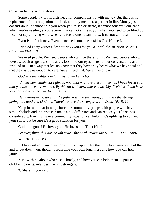Christian family, and relatives.

Some people try to fill their need for companionship with money. But there is no replacement for a companion, a friend, a family member, a partner in life. Money just doesn't do it. It cannot hold you when you're sad or afraid, it cannot squeeze your hand when you're needing encouragement, it cannot smile at you when you need to be lifted up, it cannot say a loving word when you feel alone, it cannot …, it cannot …, it cannot … .

Even Paul felt lonely. Even he needed someone besides God Himself.

*For God is my witness, how greatly I long for you all with the affection of Jesus Christ. — Phil. 1:8*

We need people. We need people who will be there for us. We need people who will love us, touch us gently, smile at us, look into our eyes, listen to our conversation, and respond to us in a way that lets us know that they have truly heard what we have said and that they value us enough to care. We all need that. We all need love.

*God sets the solitary in families… . — Psa. 68:6*

*"A new commandment I give to you, that you love one another; as I have loved you,* that you also love one another. By this all will know that you are My disciples, if you have *love for one another." — Jn 13:34, 35*

*He administers justice for the fatherless and the widow, and loves the stranger, giving him food and clothing. Therefore love the stranger… . — Deut. 10:18, 19*

Keep in mind that joining church or community groups with people who have similar beliefs and interests can make a big difference and can reduce your loneliness considerably. Even living in a community situation can help, if it's uplifting to you and your spirit, but be sure it's a good situation for you.

God is so good! He loves you! He loves me! Trust Him!

*Let everything that has breath praise the Lord. Praise the LORD! — Psa. 150:6*

WORKSHEET #3—

1. I have asked many questions in this chapter. Use this time to answer some of them and to put down your thoughts regarding your own loneliness and how you can help yourself.

2. Now, think about who else is lonely, and how you can help them—spouse, children, parents, relatives, friends, strangers.

3. Share, if you can.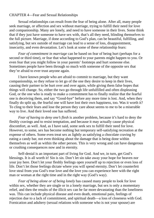#### <span id="page-25-0"></span>CHAPTER 4—Fear and Sexual Relationships

Sexual relationships can result from the fear of being alone. After all, many people seek marriage, or affection and sex without marriage, trying to fulfill their need for love and companionship. Many are lonely, and need to have someone in their lives. Some think that if they just have someone to have sex with, that's all they need, blinding themselves to the full picture. Marriage, if done according to God's plan, can be beautiful, fulfilling, and satisfying, but sex outside of marriage can lead to a sense of loss, disappointment, insecurity, and even devastation. Let's look at some of these relationship fears:

*Fear of commitment in marriage* can be based on fear of being hurt (perhaps for a second or third time), or fear that what happened to your parents might happen to you. Or even fear that you might follow in your parents' footsteps and hurt someone else. Sometimes people have been through so much with someone of the opposite sex that they're afraid to ever trust anyone again.

I have known people who are afraid to commit to marriage, but they want companionship, so they refuse to let go of the one they desire to keep in their lives, causing their partner to be hurt over and over again, while giving them false hopes that things will change. So, either the two go through life unfulfilled and often displeasing God, or the one who is ready to make a commitment has to finally realize that the fearful one is deceiving them, and say "Good-bye" before any more time is lost. And, when they finally do split up, the fearful one will have lost their own happiness, too. Was it worth it? To cling to their fears and lose the person they care about seems to me to be a miserable way to live. And their loved one has suffered.

*Fear of having to deny one's flesh* is another problem, because it's hard to deny the fleshly cravings and to resist temptation, and because it may actually cause physical discomfort, as well. And, as I have said, some seek sex to fulfill their need for love. However, to some, sex has become nothing but temporary self-satisfying recreation at the expense of others. Some even treat sex as lightly as satisfying a chocolate craving by eating a candy bar, not even thinking about the damage that is being done within themselves as well as within the other person. This is very wrong and can have dangerous or crushing consequences now and in eternity.

Self-denial is an important part of living for God. And we, in turn, get God's blessings. It is all worth it! Sin is sin. Don't let sin take away your hope for heaven nor your joy here. Don't let your fleshly feelings open yourself up to rejection or even loss of life. Don't let those feelings dictate where you will spend eternity. Don't let counterfeit love steal from you God's true love and the love you can experience here with the right man or woman at the right time and in the right way (God's way).

*Fear of being alone or of being lonely* has caused many people to look for love within sex, whether they are single or in a lonely marriage, but sex is only a momentary relief, and then the results of the illicit sex can be far more devastating than the loneliness was. This can include physical disease and even death, emotional pain, feelings of rejection due to a lack of commitment, and spiritual death—a loss of closeness with God. Fornication and adultery (sexual relations with someone who is not your spouse) are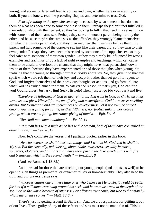wrong, and sooner or later will lead to sorrow and pain, whether here or in eternity or both. If you are lonely, read the preceding chapter, and determine to trust God.

*Fear of relating to the opposite sex* may be caused by what someone has done to them or what has been done to someone close to them. Perhaps they didn't feel fulfilled in their relationship with their parent, so they're looking to fulfill that need in a sexual union with someone of their same sex. Perhaps they saw an innocent parent being hurt by the other, and because they're the same sex as the offender, they wrongly blame themselves for what their guilty parent did, and they then may fear that they may be like the guilty parent and hurt someone of the opposite sex just like their parent did, so they turn to their own gender. Perhaps they have been mistreated by someone of the opposite sex, so they feel safer with someone of their own gender. Or they may simply be influenced by wrong examples and teachings or by a lack of right examples and teachings, which can cause them to be afraid to overlook the chance that they might have "that persuasion" down inside of them, because they have experimented or had those thoughts when young, not realizing that the young go through normal curiosity about sex. So, they give in to that evil spirit which would rob them of their joy, and accept it; rather than let go of it, repent to God, and forgive themselves of their previous thoughts or actions, and go forward into what God has truly planned for them. Whatever the reason, if that's you, God can free you! God forgives! Just ask Him! Seek His help! Then, just let go (do your part) and live!

*Therefore be followers of God as dear children. And walk in love, as Christ also has loved us and given Himself for us, an offering and a sacrifice to God for a sweet-smelling aroma. But fornication and all uncleanness or covetousness, let it not even be named among you, as is fitting for saints; neither filthiness, nor foolish talking, nor coarse jesting, which are not fitting, but rather giving of thanks. — Eph. 5:1-4*

*"You shall not commit adultery." — Ex. 20:14*

*"'If a man lies with a male as he lies with a woman, both of them have committed an abomination.'" — Lev. 20:13*

Now, let's complete the verses that I partially quoted earlier in this book:

*"He who overcomes shall inherit all things, and I will be his God and he shall be My son. But the cowardly, unbelieving, abominable, murderers, sexually immoral, sorcerers, idolaters, and all liars shall have their part in the lake which burns with fire and brimstone, which is the second death." — Rev.21:7, 8*

(And see Romans 1:18-32.)

And how sad for those that are teaching our young people (and adults, as well) to be open to such things as premarital or extramarital sex or homosexuality. They also need the truth and our prayers. Jesus says,

*"Whoever causes one of these little ones who believe in Me to sin, it would be better for him if a millstone were hung around his neck, and he were drowned in the depth of the sea. Woe to the world because of offenses! For offenses must come, but woe to that man by whom the offense comes!" — Matt. 18:6, 7*

There's just no getting around it. Sin is sin. And we are responsible for getting it out of our lives. Those guilty of any of these fears and sins must not be made fun of. This is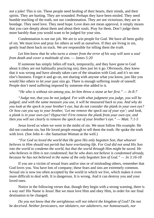not a joke! This is sin. These people need healing of their hearts, their minds, and their spirits. They are hurting. They are wounded. Perhaps they have been misled. They need humble teaching of the truth, not our condemnation. They are not victorious; they are in bondage. They need love. They need hope. Love does not mean approval, it simply means that you care deeply about them and about their souls. Pray for them. Don't judge them more harshly than you would want to be judged for your sins.

Condemnation is not our job. We are to win people for God. We have all been guilty of sin. We must love and pray for others as well as ourselves. If they are living in sin, gently lead them back on track. We *are* responsible for telling them the *truth*.

## *Let him know that he who turns a sinner from the error of his way will save a soul from death and cover a multitude of sins. — James 5:20*

If someone has simply fallen off track, temporarily, and they have gone to God about it (they are not habitually practicing sin), then just let it go. Obviously, they knew that it was wrong and have already taken care of the situation with God, and it's no one else's business. Forget it and go on, not sharing with anyone what you know, just like you would like others to let *your* past sins go. There is enough suffering *inside* of oneself. People don't need suffering imposed by someone else added to it.

*"He who is without sin among you, let him throw a stone at her first." — Jn 8:7*

*"Judge not, that you be not judged. For with what judgment you judge, you will be judged; and with the same measure you use, it will be measured back to you. And why do you look at the speck in your brother's eye, but do not consider the plank in your own eye? Or how can you say to your brother, 'Let me remove the speck out of your eye'; and look, a plank is in your own eye? Hypocrite! First remove the plank from your own eye, and then you will see clearly to remove the speck out of your brother's eye." — Matt. 7:1-5*

Jesus loved us when we were in the midst of sin. We must follow His example. He did not condone sin, but He loved people enough to tell them the truth. He spoke the truth with love. (See John 4—the Samaritan Woman at the well.)

*"For God so loved the world that He gave His only begotten Son, that whoever believes in Him should not perish but have everlasting life. For God did not send His Son into the world to condemn the world, but that the world through Him might be saved. He who believes in Him is not condemned; but he who does not believe is condemned already, because he has not believed in the name of the only begotten Son of God." — Jn 3:16-18*

If you are a victim of sexual fears and/or sins or of misleading others, remember that God loves you. You have lots of company; these fears and sins are extremely common. Sexual sin is now too often accepted by the world in which we live, which makes it even more difficult to deal with. It is dangerous. It is wrong. And it can destroy you and your loved ones.

Notice in the following verses that, though they begin with a strong warning, there is a way out! His Name is Jesus! But we must love Him and obey Him, in order for our final destination to be changed.

*Do you not know that the unrighteous will not inherit the kingdom of God? Do not be deceived. Neither fornicators, nor idolaters, nor adulterers, nor homosexuals, nor*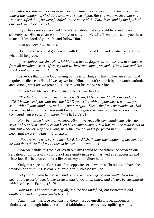*sodomites, nor thieves, nor covetous, nor drunkards, nor revilers, nor extortioners will inherit the kingdom of God. And such were some of you. But you were washed, but you were sanctified, but you were justified, in the name of the Lord Jesus and by the Spirit of our God. — 1 Corin. 6:9-11*

If you have not yet received Christ's salvation, just stop right here and now and sincerely ask Him to cleanse you from your sins, and He will. Then, purpose in your heart to make Him Lord of your life, and follow Him.

*"Sin no more." — Jn 5:14*

Don't look back. Just go forward with Him. Love of Him and obedience to Him is what will help you.

*If we confess our sins, He is faithful and just to forgive us our sins and to cleanse us from all unrighteousness. If we say that we have not sinned, we make Him a liar, and His word is not in us. — 1 Jn 1:9, 10*

Be aware that loving God, giving our lives to Him, and having heaven as our goal require obedience to Him. If we say we love Him, but don't show it by our words, attitude, and actions, what are we proving? He sees your heart *and* your life.

*"If you love Me, keep My commandments." — Jn 14:15*

*"The first of all the commandments is: 'Hear, O Israel, the LORD our God, the LORD is one. And you shall love the LORD your God with all your heart, with all your soul, with all your mind, and with all your strength.' This is the first commandment. And the second, like it, is this: 'You shall love your neighbor as yourself.'There is no other commandment greater than these." — Mk 12:29-31*

*Now by this we know that we know Him, if we keep His commandments. He who says, "I know Him" and does not keep His commandments, is a liar, and the truth is not in him. But whoever keeps His word, truly the love of God is perfected in him. By this we know that we are in Him. — 1 Jn 2:3-5*

*"Not everyone who says to me, 'Lord, Lord,'shall enter the kingdom of heaven, but he who does the will of My Father in heaven." — Matt. 7:21*

How we handle this topic of sex in our lives could be the difference between our salvation or our loss of it (our loss of an eternity in heaven), as well as a successful and victorious life here on earth or a life of misery and failure here.

Only marriage to a Christian of the opposite sex is where a Christian can have the freedom of a fulfilling sexual relationship truly blessed by God.

*Let your fountain be blessed, and rejoice with the wife of your youth. As a loving deer and a graceful doe, let her breasts satisfy you at all times; and always be enraptured with her love. — Prov. 4:18, 19*

*Marriage is honorable among all, and the bed undefiled; but fornicators and adulterers God will judge. — Heb. 13:4*

And, in this marriage relationship, there must be unselfish love, gentleness, kindness, and thoughtfulness, continual faithfulness in every way, uplifting words, a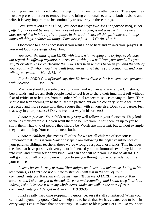listening ear, and a full dedicated lifelong commitment to the other person. These qualities must be present in order to remove fear and bring emotional security to both husband and wife. It is very important to be continually trustworthy in these things.

*Love suffers long and is kind; love does not envy; love does not parade itself, is not puffed up; does not behave rudely, does not seek its own, is not provoked, thinks no evil; does not rejoice in iniquity, but rejoices in the truth; bears all things, believes all things, hopes all things, endures all things. Love never fails. — I Corin. 13:4-8*

Obedience to God is necessary if you want God to hear and answer your prayers. If you want God's blessings, obey Him.

*You cover the altar of the LORD with tears, with weeping and crying; so He does not regard the offering anymore, nor receive it with good will from your hands. Yet you say, "For what reason?" Because the LORD has been witness between you and the wife of your youth, with whom you have dealt treacherously; yet she is your companion and your wife by covenant. — Mal. 2:13, 14*

*For the LORD God of Israel says that He hates divorce, for it covers one's garment with violence… . — Mal. 2:16*

Marriage should be a safe place for a man and woman who are fellow Christians, best friends, and lovers. Both people need to feel free to share their innermost self without fear of criticism or lectures from the other. Mutual respect must accompany the love. They should not fear opening up to their lifetime partner, but on the contrary, should feel more respected and more secure with their spouse than with anyone else. Does your partner feel that way in your presence? Do you feel that way in his or hers?

*A note to parents*: Your children may very well follow in your footsteps. They look to you as their example. Do you want them to be like you? If not, then it's up to you to show them what kind of people they should be. Words are important, but without example they mean nothing. Your children need both.

*A note to children* (this means all of us, for we are all children of someone): Remember that Jesus is your Way of escape from following the negative influences of your parents, siblings, teachers, those we've wrongly respected, or friends. This includes the sins that have possibly driven you or influenced you into immoral sex of any kind or into cruel and hurtful sex of any kind. God can and will help you. Do not be afraid. He will go through all of your pain with you to see you through to the other side. But it is your choice.

*I have chosen the way of truth; Your judgments I have laid before me. I cling to Your testimonies; O LORD, do not put me to shame! I will run in the way of Your commandments, for You shall enlarge my heart. Teach me, O LORD, the way of Your statutes, and I shall keep it to the end. Give me understanding, and I shall keep Your law; indeed, I shall observe it with my whole heart. Make me walk in the path of Your commandments, for I delight in it. — Psa. 119:30-35*

I had a really hard time stopping my quote, because it's all so fantastic! When you can, read beyond my quote. God will help you to be all that He has created you to be—in every way! Let Him have that opportunity! He wants to bless you! Let Him. Do your part.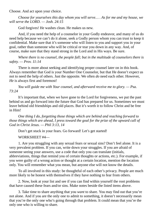Choose. And act upon your choice.

*Choose for yourselves this day whom you will serve… . As for me and my house, we will serve the LORD. — Josh. 24:15*

God forgives! He washes clean. He makes us new.

And, if you need the help of a counselor in your Godly endeavor, and many of us do need help because we can't do it alone, seek a Godly person whom you can trust to keep it confidential. Make sure that it's someone who will listen to you and support you in your goal, rather than someone who will be critical or tear you down in any way. And, of course, make sure that they stand strong in the Lord and in His ways. Be sure.

*Where there is no counsel, the people fall; but in the multitude of counselors there is safety. — Prov. 11:14*

There is more about seeking and identifying proper counsel later on in this book. Always remember that God is your Number One Counselor, but that He doesn't expect us not to need the help of others. Just the opposite. We often *do* need each other. However, *He* is always first and foremost!

*You will guide me with Your counsel, and afterward receive me to glory. — Psa. 73:24*

It's important that, when we have gone to the Lord for forgiveness, we put the past behind us and go forward into the future that God has prepared for us. Sometimes we must leave behind old friendships and old places. But it's worth it to follow Christ and be free in Him!

*One thing I do, forgetting those things which are behind and reaching forward to those things which are ahead, I press toward the goal for the prize of the upward call of God in Christ Jesus. — Phil 3:13, 14*

Don't get stuck in your fears. Go forward! Let's get started!

WORKSHEET #4—

1. Are you struggling with any sexual fears or sexual sins? Don't feel alone. It is a very prevalent problem. If you can, write down your struggles. If you are afraid of someone seeing your answers, use a code that only you can translate (initials, abbreviations, things that remind you of certain thoughts or actions, etc.). For example, if you were guilty of a wrong action or thought at a certain location, mention the location only. You will remember what you mean, but anyone else will not know the details.

To all involved in this study: be thoughtful of each other's privacy. People are much more likely to be honest with themselves if they have nothing to fear from others.

2. Now, look at your list and see if you can find within yourself the root problems that have caused these fears and/or sins. Make notes beside the listed items above.

3. Take time to share anything that you *want* to share. You may find out that you're not alone. And if you are the only one to admit to something, it doesn't necessarily mean that you're the only one who's going through that problem. It could mean that you're the only one who is willing to share.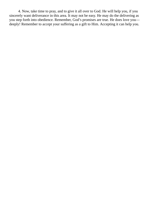4. Now, take time to pray, and to give it all over to God. He will help you, if you sincerely want deliverance in this area. It may not be easy. He may do the delivering as you step forth into obedience. Remember, God's promises are true. He does love you deeply! Remember to accept your suffering as a gift to Him. Accepting it can help you.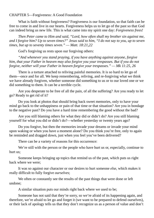<span id="page-32-0"></span>CHAPTER 5—Forgiveness: A Good Foundation

What is faith without forgiveness? Forgiveness is our foundation, so that faith can be free to come in and live in our hearts. Forgiveness helps us to let go of the past so that God can indeed bring us new life. This is what came into my spirit one day: *Forgiveness frees!*

*Then Peter came to Him and said, "Lord, how often shall my brother sin against me,* and I forgive him? Up to seven times?" Jesus said to him, "I do not say to you, up to seven *times, but up to seventy times seven." — Matt. 18:21,22*

God's forgiving us rests upon our forgiving others:

*"And whenever you stand praying, if you have anything against anyone, forgive him, that your Father in heaven may also forgive you your trespasses. But if you do not forgive, neither will your Father in heaven forgive your trespasses." — Mk 11:25, 26*

There is a torture attached to reliving painful memories. It is so hard to let go of them—once and for all. We keep remembering, reliving, and re-forgiving what we think we have already forgiven, whether someone did something to us or to our loved one or we did something to them. It can be a terrible cycle.

Are you desperate to be free of all the pain, of all the suffering? Are you ready to let go? Ready to get rid of it?

Do you look at photos that should bring back sweet memories, only to have your mind go back to the unhappiness or pain of that time or that situation? Are you in bondage to the negative past? Do you have a hard time remembering the good without the bad?

Are you still blaming others for what they did or didn't do? Are you still blaming yourself for what you did or didn't do?—whether yesterday or twenty years ago?

Do you forgive, but then the memories invade your dreams or invade your mind upon waking or when you have a moment alone? Do you think you're free, only to again be reminded and dragged down, just when you feel you've been delivered?

There can be a variety of reasons for this occurrence:

We're still with the person or the people who have hurt us or, especially, continue to hurt us;

Someone keeps bringing up topics that remind us of the past, which puts us right back where we were;

It was so against our character or our desires to hurt someone *else*, which makes it really difficult to fully forgive *ourselves*;

We often or constantly see the results of the past things that were done or left undone;

A similar situation puts our minds right back where we used to be;

Someone has not said that they're sorry, so we're afraid of its happening again, and therefore, we're afraid to let go and forget it (we want to be prepared to defend ourselves), or their lack of apology tells us that they don't recognize us as a person of value and don't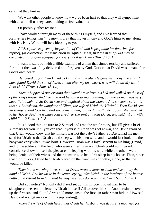care that they hurt us;

We want other people to know how we've been hurt so that they will sympathize with us and tell us they care, making us feel valuable;

Or possibly other reasons.

I have worked through many of these things myself, and I've learned that *forgiveness brings much freedom*. I pray that my testimony and God's hints to me, along with His Holy Word, will be a blessing to you.

*All Scripture is given by inspiration of God, and is profitable for doctrine, for reproof, for correction, for instruction in righteousness, that the man of God may be complete, thoroughly equipped for every good work. — 2 Tim. 3:16, 17*

I want to start out with a Bible example of a man that sinned terribly and suffered for it, but then was fully delivered and forgiven by God. Notice that David was a man after God's own heart:

*He raised up for them David as king, to whom also He gave testimony and said, "I* have found David the son of Jesse, a man after my own heart, who will do all My will."  $-$ *Acts 13:22 (From 1 Sam. 13:14.)*

*Then it happened one evening that David arose from his bed and walked on the roof of the king's house. And from the roof he saw a woman bathing, and the woman was very beautiful to behold. So David sent and inquired about the woman. And someone said, "Is this not Bathsheba, the daughter of Eliam, the wife of Uriah the Hittite?" Then David sent messengers, and took her; and she came to him, and he lay with her… ; and she returned to her house. And the woman conceived; so she sent and told David, and said, "I am with child." — 2 Sam. 11:2, 3*

It is a good thing to turn to 2 Samuel and read the whole story, but I'll give a brief summary for you until you can read it yourself: Uriah was off at war, and David realized that Uriah would know that he himself was not the baby's father. So David had his men send for Uriah so that Uriah could sleep with his own wife, and it would just look like the baby was early when it was born. However, Uriah was a loyal servant to his king (David) and to the soldiers in the field, who were suffering in war. Uriah could not in good conscience allow himself the pleasure of sleeping with his wife while the others were being denied of their wives and their comforts, so he didn't sleep in his house. Then, since that didn't work, David had Uriah placed on the front lines of battle, alone, so that he would be killed.

*Then in the morning it was so that David wrote a letter to Joab and sent it by the hand of Uriah. And he wrote in the letter, saying, "Set Uriah in the forefront of the hottest battle, and retreat from him, that he may be struck down and die." — 2 Sam. 11:14, 15*

Did you notice? Not only did David set up this innocent, loyal man to be slaughtered, he sent the letter by Uriah himself! All to cover his sin. Another sin to cover up the first sin, and all it did was add more sins to the first sin rather than hide it. How sad. David did not get away with it (keep reading):

*When the wife of Uriah heard that Uriah her husband was dead, she mourned for*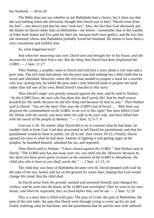#### *her husband. — Verse 26*

The Bible does not say whether or not Bathsheba had a choice, but it does say that she was bathing when she obviously thought that David was in bed (*"David arose from his bed"*—see above) and that his men "took her." Also, the fact that God obviously put the blame on David rather than on Bathsheba—see below—(remember that in the Garden of Eden *both* Adam and Eve paid for their sin, because *both* were guilty), and the fact that she mourned, shows that Bathsheba probably loved her husband. He seems to have been a very considerate and faithful man.

So, what happened next?

*And when her mourning was over, David sent and brought her to his house, and she became his wife and bore him a son. But the thing that David had done displeased the LORD. — 2 Sam. 11:27*

Then Nathan, a prophet, went to David and told him a story about a rich man and a poor man. The rich man had plenty, but the poor man had nothing but a little lamb that he loved and cherished. However, when the rich man needed to prepare a meal for a traveler who was visiting him, he killed the poor man's only beloved lamb to prepare the meal rather than kill one of his own. Read David's reaction to this story:

*Then David's anger was greatly aroused against the man, and he said to Nathan, "As the LORD lives, the man who has done this shall surely die! And he shall restore fourfold for the lamb, because he did this thing and because he had no pity." Then Nathan said to David, "You are the man! Thus says the LORD God of Israel… . 'Why have you despised the commandment of the LORD, to do evil in His sight? You have killed Uriah the Hittite with the sword; you have taken his wife to be your wife, and have killed him with the sword of the people of Ammon.'" — 2 Sam. 12:5-7, 9*

God saw it all. No matter what David did to try to conceal what he had done, he couldn't hide it from God. God then proceeded to tell David his punishment, and that his punishment would be done in public, for all to see. (See verses 10-12.) Finally, David opened his eyes to what he had done. Instead of fighting it and getting angry at the prophet, he humbled himself, admitted his sin, and repented.

*Then David said to Nathan, "I have sinned against the LORD." And Nathan said to David, "The LORD also has put away your sin; you shall not die. However, because by this deed you have given great occasion to the enemies of the LORD to blaspheme, the child also who is born to you shall surely die." — 2 Sam. 12:13, 14*

The child that was born of Bathsheba became very ill. David pleaded with God for the sake of his son, fasted, and lay on the ground for seven days, hoping that God would change His mind. But the child died.

*So David arose from the ground, washed and anointed himself, and changed his clothes; and he went into the house of the LORD and worshiped. Then he went to his own house; and when he requested, they set food before him, and he ate. — 2 Sam. 12:20*

This is a story that is filled with pain. The pain of Uriah, the pain of Bathsheba, the pain of the sick baby, the pain that David went through trying to cover up his sin and finally realizing what he had done, and the punishment that he and his new wife suffered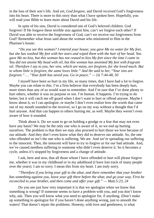in the loss of their son's life. And yet, *God forgave*, and David *received* God's forgiveness into his heart. There is more to this story than what I have spoken here. Hopefully, you will read your Bible to learn more about David and his life.

In spite of his sins, David is considered one of God's beloved children. God forgives! If He forgave these terrible sins against him, can't we forgive each other? If David was able to receive the forgiveness of God, can't we receive our forgiveness from God? Remember what Jesus said about the woman who ministered to Him in the Pharisee's house:

*"Do you see this woman? I entered your house; you gave Me no water for My feet, but she has washed My feet with her tears and wiped them with the hair of her head. You* gave Me no kiss, but this woman has not ceased to kiss My feet since the time I came in. *You did not anoint My head with oil, but this woman has anointed My feet with fragrant oil. Therefore I say to you, her sins, which are many, are forgiven, for she loved much. But to whom little is forgiven, the same loves little." And He said to her, "Your sins are forgiven." … "Your faith has saved you. Go in peace." — Lk 7:44-48, 50*

I myself have been so hurt in my life, so many times, that I have had a lot to forgive. Maybe you can relate to this. I'm a firm believer that everybody has been deeply hurt, more times than any of us would want to remember. And I'm sure that I've done plenty to hurt others, whether it was on purpose or not. I'm human. It happens. I'm trying to do better, but it will catch me off guard when I don't want to hurt or offend anyone. Maybe I know about it, so I can apologize, or maybe I don't even realize how the words that came out of my mouth sounded to the receiver, so I go on my way without a thought that I'd hurt anyone. And that can happen to others hurting *me*, as well. Maybe they weren't even aware of how it sounded.

Think about it. Do we want to go on holding a grudge or a fear that may not even have any basis? We may be the only one who is aware of it, so we end up hurting ourselves. The problem is that then we may also proceed to hurt those we love because of our attitude. And they don't even know what they did to deserve our attitude. So, the one who offended us isn't the one who is suffering. We are. And we're spreading our suffering to the innocent. Then, the innocent will have to try to forgive *us* for *our* bad attitude. And, we've caused needless suffering to someone who didn't even deserve it. So it becomes a cycle, unless it's stopped by forgiveness and a change of attitude.

I ask, here and now, that all those whom I have offended or hurt will please forgive me, whether it was in my childhood or in my adulthood (I have lost track of many people over the years). I am so sorry. I mean this from my heart. I am truly sorry.

*"Therefore if you bring your gift to the altar, and there remember that your brother has something against you, leave your gift there before the altar, and go your way. First be reconciled to your brother, and then come and offer your gift." — Matt.5:23, 24*

Do you see just how very important it is that we apologize when we know that something is wrong? If someone seems to have a problem with you, and you don't know why, ask. Then you will know what you need to apologize for, if anything. (Don't make up something to apologize for if you haven't done anything wrong, just to smooth the waters! That doesn't repair the problems. Honesty, with love and gentleness, is what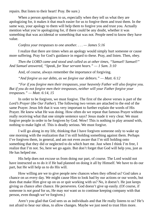repairs. But listen to their heart! Pray. Be sure.)

When a person apologizes to us, especially when they tell us what they are apologizing for, it makes it that much easier for us to forgive them and trust them. In the same way, your apology to them will help them to forgive you and trust you. Actually mention what you're apologizing for, if there could be any doubt, whether it was something that was accidental or something that was not. People need to know they have value.

*Confess your trespasses to one another. . . . — James 5:16*

I realize that there are times when an apology would simply hurt someone or cause more suffering. Pray for God's guidance in regard to these. Pray, and listen. Then, obey.

*Then the LORD came and stood and called as at other times, "Samuel! Samuel!" And Samuel answered, "Speak, for Your servant hears." — 1 Sam. 3:10*

And, of course, always remember the importance of forgiving.

*"And forgive us our debts, as we forgive our debtors." — Matt. 6:12*

*"For if you forgive men their trespasses, your heavenly Father will also forgive you. But if you do not forgive men their trespasses, neither will your Father forgive your trespasses." — Matt. 6:14, 15*

In order to be forgiven, we must forgive. The first of the above verses is part of the *Lord's Prayer* (the *Our Father*). The following two verses are attached to the end of the same Prayer. Jesus felt that it was very important to further explain the words of His Prayer. He knew what He was doing. How often do we repeat that famous Prayer without really receiving what that one simple sentence says? Jesus made it very clear. We must forgive people in order to be forgiven by God. Wow! This is nothing to play around with, nothing to make light of. This is deadly serious. We must forgive.

I will go along in my life, thinking that I have forgiven someone only to wake up one morning with the realization that I'm still holding something against them. Perhaps I've forgiven them, in general, and am not even aware that I'm still holding onto something that they did or neglected to do which hurt me. Just when I think I'm free, I realize that I'm not. So, here we go again. But don't forget that God will help you, just as He has helped me.

His help does not excuse us from doing our part, of course. The Lord would not have instructed us to do it if He had planned on doing it all by Himself. We have to do our part, but He will help us to do His will.

How willing are we to give people new chances when they offend us? God takes a chance on *us* every day. We might cause Him to look bad by our actions or our words, but does that make Him give up on us or quit working with us? No, it doesn't. He just keeps giving us chance after chance. He perseveres. God doesn't give up easily. (Of course, if someone is *not good* for us, He may *not* want us to continue keeping company with that person, even though we've forgiven.)

Aren't you glad that God sees us as individuals and that He really listens to us? He's not afraid to hear our ideas, to allow changes. Maybe we just need to trust Him more.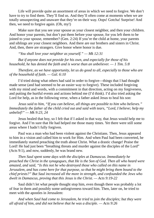Life will provide quite an assortment of areas in which we need to forgive. We don't have to try to find them. They'll find us. And they'll often come at moments when we are totally unsuspecting and unaware that they're on their way. Oops! Gotcha! Surprise! And then, we need to forgive again. (Oh, my!)

Make sure that you see your spouse as your closest neighbor, and then your children. And honor your parents, but don't put them before your spouse, for you left them to be joined to your spouse, remember? (Gen. 2:24) If you're the child at home, your parents and siblings are your closest neighbors. And there are our brothers and sisters in Christ. And, then, there are strangers. Give honor where honor is due.

*"You shall love your neighbor as yourself." — Mk 12:31*

*But if anyone does not provide for his own, and especially for those of his household, he has denied the faith and is worse than an unbeliever. — 1 Tim. 5:8*

*Therefore, as we have opportunity, let us do good to all, especially to those who are of the household of faith. — Gal. 6:10*

I'd tried doing what others had said in order to forgive—things that I had thought made sense (and had seemed to be an easier way to forgive). These included forgiving with my mind and words, with a commitment in that direction, acting on my forgiveness, and putting the hurtful events and actions behind me (I'd think). I'd also tried asking the Lord for help, as in the following verse, when a father asked Jesus to heal his son:

*Jesus said to him, "If you can believe, all things are possible to him who believes." Immediately the father of the child cried out and said with tears, "Lord, I believe; help my unbelief!" — Mk 9:23, 24*

Jesus healed that boy, so I felt that if I asked in that way, that Jesus would help me to forgive. And I'm sure that He had helped me those many times. Yet there were still some areas where I hadn't fully forgiven.

Paul was a man who had been violent against the Christians. Then, Jesus appeared to him in a vision and called him to work for Him. And when Paul had been converted, he immediately started preaching the truth about Christ. What a drastic change! Praise the Lord! He had just been "breathing threats and murder against the disciples of the Lord" (Acts 9:1), and now, suddenly, he was brand new.

*Then Saul spent some days with the disciples at Damascus. Immediately he preached the Christ in the synagogues, that He is the Son of God. Then all who heard were amazed, and said, "Is this not he who destroyed those who called on this name in Jerusalem, and has come here for that purpose, so that he might bring them bound to the chief priests?" But Saul increased all the more in strength, and confounded the Jews who dwelt in Damascus, proving that this Jesus is the Christ. — Acts 9:19-22*

Saul didn't let what people thought stop him, even though there was probably a lot of fear in them and possibly some unforgiveness toward him. Then, later on, he tried to meet with the apostles in Jerusalem:

*And when Saul had come to Jerusalem, he tried to join the disciples; but they were all afraid of him, and did not believe that he was a disciple. — Acts 9:26*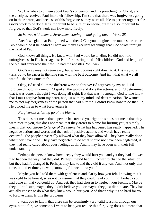So, Barnabas told them about Paul's conversion and his preaching for Christ, and the disciples received Paul into their fellowship. I'm sure that there was forgiveness going on in their hearts, and because of this forgiveness, they were all able to partner together for God's work to be done. It is important to be sure of someone, but it is also important to forgive, so that God's work can flow more freely.

# *So he was with them at Jerusalem, coming in and going out. — Verse 28*

Aren't we glad that Paul joined with them? Can you imagine how much shorter the Bible would be if he hadn't? There are many excellent teachings that God wrote through the hand of Paul.

God knows all things. He knew who Paul would be to Him. He did not hold unforgiveness in His heart against Paul for desiring to kill His children. God had let go of the old and embraced the new. So had the apostles. Will we?

God's way may not seem easy, but when it comes right down to it, His way sure turns out to be easier in the long run, with the best outcome. And isn't that what we all want?—the best outcome?

Okay, I'd tried all these different ways to forgive: I'd forgiven by my will, I'd forgiven through my mind, I'd spoken the words and done the actions, and I'd determined that it was done. I thought I was doing all right. But that wasn't enough. God let me know that I must forgive from my heart, not just with my mind and determination. He wanted me to *feel* my forgiveness of the person that had hurt me. I didn't know how to do that. So, He guided me as to what forgiveness is:

# *Forgiveness is letting go of the blame.*

This does not mean that a person has treated you right, this does not mean that they were nice to you, this does not mean that they aren't to blame for hurting you, it simply means that *you choose to let go of the blame*. What has happened has really happened. The negative actions and words and the lack of positive actions and words have really occurred. The people have really allowed what they have allowed. They have really done what they have done. They have neglected to do what should not have been neglected, if they had really cared about your feelings at all. And it may have been with their full understanding.

Perhaps the person knew how deeply they would hurt you, and yet they had allowed it to happen the way that they did. Perhaps they'd had full power to change the situation, but they hadn't changed it. Perhaps they knew, and they did it anyway. And, not only that time, but other times, as well, knowing full well how you felt.

Maybe you had told them with gentleness and clarity how you felt, knowing that it was right to be honest, so as not to assume that they could read your mind. Perhaps you had done all that you could do. And yet, they had chosen to neglect your feelings. Maybe they didn't listen, maybe they didn't believe you, or maybe they just didn't care. They had actually chosen to do what they knew would hurt you. And that's why it's so hard for you to forgive them. Is this the problem?

I want you to know that there can be seemingly very valid reasons, through our eyes, not to forgive someone. I want to help you realize that forgiving does not mean that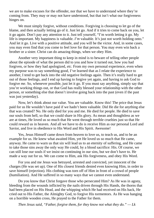we are to make excuses for the offender, nor that we have to understand where they're coming from. They may or may not have understood, but that isn't what our forgiveness hinges on.

We must simply forgive, without conditions. Forgiving is choosing to let go of the blame, and then actually letting go of it. Just let go. And if it tries to come back on you, let it go again. Don't pay any attention to it. Just tell yourself, "I'm worth letting it go. My life is important. My happiness is valuable. *I'm* valuable. It's just not worth holding onto." And let it go. Live with a positive attitude, and you will be the victor. And, in some cases, you may even find that you come to feel love for that person. You may even win back a brother or a sister. Christ can do amazing things, when we obey Him.

Another very important thing to keep in mind is to beware of telling other people about the episode of what the person did to you and how it turned out, how you had forgiven, or how they had apologized, *etc.* From my own personal experience, even when my purpose was to say something good, I've learned that as I relate the experience to another, I tend to get back into the old negative feelings again. Then it's really hard to get out of those feelings, and I end up having to forgive yet again, and having to ask God to forgive *me*. So, whenever possible, just let it go. If you must say anything, simply say that you're working things out, or that God has really blessed your relationship with the other person, or something else that doesn't involve going back into the past (even if the past was just vesterday).

Now, let's think about our value. You are valuable. Know this! The price that Jesus paid for us He wouldn't have paid if we hadn't been valuable. Did He die for anything else that was created? No. He only died for you and me. He died for people. He died to save our souls from hell, so that we could share in His glory. As mean and thoughtless as we are at times, He loved us so much that He went through terrible cruelties just so that He could reward us in heaven. And all we have to do is receive Him as our personal Lord and Savior, and live in obedience to His Word and His Spirit. Awesome!

Yes, Jesus Himself came down from heaven to love us, to teach us, and to be an example for us. He knew what awaited Him, yet He loved us so much that He came, anyway. He came to warn us that sin will lead us to an eternity of suffering, and He came to take those sins away the only way He could, by a blood sacrifice: His. Of course, we can still lose our souls if we insist on continuing in our sins, but we don't have to. He made a way out for us. We can come to Him, ask His forgiveness, and obey His Word.

For you and me Jesus was betrayed, arrested and convicted, yet innocent of the charges (He was set up). One of His closest friends denied even knowing Him, in order to save himself (rejection). His clothing was torn off of Him in front of a crowd of people (humiliation). And He suffered in so many ways that we cannot even understand.

Do you know that Christ forgave those who persecuted Him? As He was in agony, bleeding from the wounds inflicted by the nails driven through His Hands, the thorns that had been placed on His Head, and the whipping which He had received on His back, He cried out to His Father, the Almighty God, to forgive His tormentors. As He was hanging on a horrible wooden cross, He prayed to the Father for them.

*Then Jesus said, "Father, forgive them, for they know not what they do." — Lk*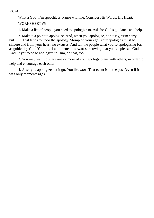*23:34*

What a God! I'm speechless. Pause with me. Consider His Words, His Heart. WORKSHEET #5—

1. Make a list of people you need to apologize to. Ask for God's guidance and help.

2. Make it a point to apologize. And, when you apologize, don't say, "I'm sorry, but… ." That tends to undo the apology. Stomp on your ego. Your apologies must be sincere and from your heart, no excuses. And tell the people what you're apologizing for, as guided by God. You'll feel a lot better afterwards, knowing that you've pleased God. And, if you need to apologize to Him, do that, too.

3. You may want to share one or more of your apology plans with others, in order to help and encourage each other.

4. After you apologize, let it go. You live *now*. That event is in the past (even if it was only moments ago).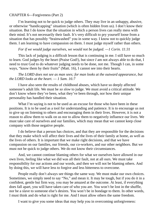## CHAPTER 6—Forgiveness (Part 2)

I'm learning not to be quick to judge others. They may live in an unhappy, abusive, or otherwise "handicapping" situation (which is often hidden from us). I don't know their situation. But I do know that the situation in which a person lives can really mess with their mind. It's not necessarily their fault. It's very difficult to pry yourself loose from a situation that has possibly "brainwashed" you in some way. I know not to quickly judge them. I am learning to have compassion on them. I must judge myself rather than others.

## *For if we would judge ourselves, we would not be judged. —1 Corin. 11:31*

This lack of judging is a difficult lesson that is continuing in me. I still have so much to learn. God judges by the heart (Praise God!), but since *I* am not always able to do that, I need to trust God to do whatever judging needs to be done, not me. Though I can, in some ways, "know them by their fruits" (Matt. 16), I cannot see into their hearts.

## *The LORD does not see as man sees; for man looks at the outward appearance, but the LORD looks at the heart. — 1 Sam. 16:7*

I have also seen the results of childhood abuses, which have so deeply affected someone's adult life. We must be *so slow* to judge. We must avoid a critical attitude. We don't know where they've been, what they've been through, nor how their unique personality has handled their situation.

What I'm saying is not to be used as an excuse for those who have been in these positions. It is to be used as a tool for understanding and patience. It is to encourage us not to give up on listening to others and encouraging them in their lives. However, it is not a reason to allow them to walk on us nor to allow them to negatively influence our lives. We must take care of ourselves and our families, which may mean that we cannot keep close company with those negative people.

I do believe that a person has choices, and that they are responsible for the decisions that they make which will affect their lives and the lives of their family at home, as well as the lives of others. It is important that we make right decisions, and that we have compassion on our families, our friends, our co-workers, and our other neighbors. But we must not be quick to judge others. We do not know their circumstances.

And, we cannot continue blaming others for what we ourselves have allowed in our own lives, feeling like what we did was all their fault, not at all ours. We must take responsibility for our actions and our words, and then we will not be blaming others. And by doing this, we will have less to forgive and less bitterness to overcome.

People really don't always see things the same way. We must make our own choices. Sometimes, we simply need to say "No," and mean it. It may be tough, but if you do it in a confident, gentle but firm way, you may be amazed at the outcome. At least, if everything does fall apart, you will have taken care of who you are. You won't be lost in the shuffle, nor be a slave to someone else's desires. You won't be in bondage to them. In other words, I must think and do what is right for me. And I must allow others the same freedom.

I want to give you some ideas that may help you in overcoming unforgiveness: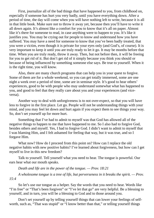First, journalize all of the bad things that have happened to you, from childhood on, especially if someone has hurt you very badly, until you have everything down. After a period of time, the day will come when you will have nothing left to write, because it is all in that little book. Make sure not to throw it away yet, because then you'll have to write it all down again. It's almost like a comfort for you to know that it's all on paper. Almost like it's there for someone to read, in case anything were to happen to you. It's like it justifies you. You may be crying out for people to know and understand how you have suffered. You may have a need for someone to know that you've been badly treated, that you were a victim, even though it is private for your eyes only (and God's, of course). It is very important to keep it until you are truly ready to let it go. It may be months before that time. When you are truly ready, throw it away. Then, but not before then, it will be freeing for you to get rid of it. But don't get rid of it simply because you think you should or because of being influenced by something someone else says. Be true to yourself. When it is the right time, you will know.

Also, there are many church programs that can help you in your quest to forgive. Some of them are for a whole weekend, so you can get totally immersed, some are one night a week over a period of time, some are in seminar style. It's good to hear others' experiences, good to be with people who may understand somewhat what has happened to you, and good to feel that they really care about you and your experiences (and viceversa).

Another way to deal with unforgiveness is to not over-expect, so that you will have less to forgive in the first place. Let go. People will not be understanding things with your mind, and you may feel let down and hurt again if you expect them to see things your way. So, don't set yourself up for more hurt.

Something that I've had to admit to myself was that God has allowed all of the negative things to happen to me that have happened to me. So I also had to forgive God, besides others and myself. Yes, I had to forgive God. I didn't want to admit to myself that I was blaming Him, and I felt ashamed for feeling that way, but it was true, and so I forgave Him.

What now? How do I proceed from this point on? How can I replace the old negative habits with new positive habits? I've learned about forgiveness, but how can I get myself to live in this new freedom?

Talk to yourself. Tell yourself what you need to hear. The tongue is powerful. Our ears hear what our mouth speaks.

*Death and life are in the power of the tongue. — Prov. 18:21*

*A wholesome tongue is a tree of life, but perverseness in it breaks the spirit. — Prov. 15:4*

So let's use our tongue as a helper. Say the words that you need to hear. Words like "I'm free" or "That's been forgiven" or "I've let that go" are very helpful. Be a blessing to yourself, and in turn, you will be a blessing to God and to those around you.

Don't set yourself up by telling yourself things that can lower your feelings of selfworth, such as, "That was stupid" or "I know better than that," or telling yourself things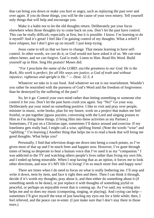that can bring you down or make you hurt or angry, such as replaying the past over and over again. If you do those things, you will be the cause of your own misery. Tell yourself only things that will help and encourage you.

Make it a habit not to let the old thoughts return. Deliberately put your focus elsewhere when those thoughts try to come back on you. Don't let the past have control. This can be really difficult, especially at first, but it *is* possible. I know. I'm learning to do it myself! And it's great! I feel like I'm gaining control of my thoughts. What a relief! I have relapses, but I don't give up on myself. I just keep trying.

Jesus came to tell us that we have to change. That means learning to have selfcontrol. In other words, we *can* do it, or God would not have asked it of us. We *can* treat others better, and we *can* forgive. God is truth. Listen to Him. Read His Word. Build yourself up in Him. Sing His praises! Moses did:

### *"For I proclaim the name of the LORD: ascribe greatness to our God. He is the Rock, His work is perfect; for all His ways are justice, a God of truth and without injustice; righteous and upright is He." — Deut. 32:3, 4*

Whatever we take in is our food. And whatever we eat is our nourishment. Wouldn't you rather be nourished with the pureness of God's Word and the freedom of forgiveness than be destroyed by the suffering of the past?

So, let it go. Control your own mind rather than letting something or someone else control it for you. Don't let the past hurts crush you again. Say "No!" Go your way. Deliberately put your mind on something positive. I like to visit and pray over people, minister in music, write books, plan for my future, work on a project that makes me feel fruitful, or put together jigsaw puzzles, conversing with the Lord and singing praises to Him as I'm doing these things. (I bring Him into these activities as my Partner.) Sometimes, I'll put on a Christian tape, sometimes I'll dance around and exercise. If my loneliness gets really bad, I might call a wise, uplifting friend. (Note the words "wise" and "uplifting." I'm learning.) Another thing that helps me is to read a book that will bring me good thoughts. What helps you?

Personally, I find that television drags me down into being a couch potato, so I've given most of that up and I'm much freer and happier now. However, I've gone through times of being so desperate to hear a human voice that I've used it as my "companion." I was addicted to the TV and watching others people's lives rather than living my own life, and I ended up being miserable. When I stop having that as an option, it forces me to look other directions, and now it's MY life I'm living! I'm so much more free and happy now!

There are times when I do need to focus on what is really bothering me. I'll stop and write it down, item by item, and face it right then and there. Then I can think it through, decide if it's worth my thoughts, pray about it, and then either do something about it (if something needs to be done), or just replace it with thoughts of something joyful or peaceful, or perhaps an enjoyable event that is coming up. As I've said, my writing also helps me and so does my music (composing, singing, or playing). And crying can help sometimes I'll give myself the treat of just bawling my eyes out for a little while; then, I feel relieved, and the peace can re-enter. (I just make sure that I don't stay there in those tears.)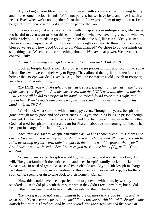Try looking at your blessings. I am so blessed with such a wonderful, loving family, and I have some precious friends. We're not perfect, but we have love, and love is such a healer. Even when we're not together, I can think of how proud I am of my children. I can be grateful for their love of God and for the people they are.

It's interesting that when we're filled with unhappiness or unforgiveness, life can be too hurtful to even want to be on this earth. And yet, when we have forgiven, and when we deliberately put our minds on good things rather than the bad, life can suddenly seem so pleasurable and enjoyable. All of a sudden, our thoughts can turn to thinking of how very blessed we are and how good God is to us. What changed? We chose to put our minds on something else. We chose to do something about it. We have that power. We have that control. Truly,

#### *"I can do all things through Christ who strengthens me" (Phil. 4:13).*

Look at Joseph, Jacob's son. His brothers were jealous of him, and sold him to some Ishmaelites, who were on their way to Egypt. They allowed their grief-stricken father to believe that Joseph was dead (Genesis 37). Then, the Ishmaelites sold Joseph to Potiphar, an officer of Pharaoh, in Egypt:

*The LORD was with Joseph, and he was a successful man; and he was in the house of his master the Egyptian. And his master saw that the LORD was with him and that the LORD made all he did to prosper in his hand. So Joseph found favor in his sight, and served him. Then he made him overseer of his house, and all that he had he put in his hand. — Gen. 39:2-4*

Wow! Look what God did with an unhappy event. Through the years, Joseph had gone through many good and bad experiences in Egypt, including being in prison, though innocent. But he had continued to serve God, and God had blessed him, even there. After God had used Joseph to interpret a dream for Pharaoh about a soon-coming famine, he had been put in charge of the land of Egypt!

*Then Pharaoh said to Joseph, "Inasmuch as God has shown you all this, there is no one as discerning and wise as you. You shall be over my house, and all my people shall be ruled according to your word; only in regard to the throne will I be greater than you." And Pharaoh said to Joseph, "See, I have set you over all the land of Egypt." — Gen. 42:39-41*

So, many years after Joseph was sold by his brothers, God was still working His will. The great famine hit the entire earth, and even Joseph's family back in the land of Canaan was in need of grain. Because of Pharaoh's dream, Egypt, with Joseph in charge, had stored up much grain, in preparation for this time. So, guess what! Yep, his brothers soon came, seeking grain to take back to their home in Canaan.

Now, this would have been a perfect time to get even with them, by worldly standards. Joseph did play with them some when they didn't recognize him, but he did supply them their needs, and he eventually revealed to them who he was.

*Then Joseph could not restrain himself before all those who stood by him, and he cried out, "Make everyone go out from me!" So no one stood with him while Joseph made himself known to his brothers. And he wept aloud, and the Egyptians and the house of*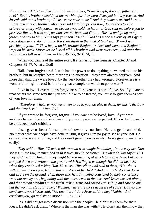*Pharaoh heard it. Then Joseph said to his brothers, "I am Joseph; does my father still live?" But his brothers could not answer him, for they were dismayed in his presence. And Joseph said to his brothers, "Please come near to me." And they came near. And he said: "I am Joseph your brother, whom you sold into Egypt. But now, do not therefore be grieved or angry with yourselves because you sold me here; for God sent me before you to preserve life… . It was not you who sent me here, but God… . Hasten and go up to my father, and say to him, 'Thus says your son Joseph: "God has made me lord of all Egypt; come down to me, do not tarry. You shall dwell in the land of Goshen… There I will provide for you…'" Then he fell on his brother Benjamin's neck and wept, and Benjamin wept on his neck. Moreover he kissed all his brothers and wept over them, and after that his brothers talked with him. — Gen. 45:1-5, 8-11, 14, 15*

When you can, read the entire story. It's fantastic! See Genesis, Chapter 37 and Chapters 39-47. What a God!

Talk about forgiveness! Joseph had the power to do anything he wanted to do to his brothers, but in Joseph's heart, there was no question—they were already forgiven. And more than that, they were loved, by the very brother they had wronged. Forgiveness is a wonderful thing! It frees! Isn't this a great example on which to go forward?

Live in love. Love requires forgiveness. Forgiveness is part of love. So, if you are to treat others the same way that you would like to be treated, you must forgive them as part of your love for them.

*"Therefore, whatever you want men to do to you, do also to them, for this is the Law and the Prophets." — Matt. 7:12*

If you want to be forgiven, forgive. If you want to be loved, love. If you want another chance, give another chance. If you want patience, be patient. If you don't want to be criticized, don't criticize.

Jesus gave us beautiful examples of how to live our love. He is so gentle and kind. No matter what we people have done to Him, it gives Him no joy to see anyone lost. He came so that we would live, and He doesn't give up on us easily. Do we give up on others easily?

*They said to Him, "Teacher, this woman was caught in adultery, in the very act. Now Moses, in the law, commanded us that such should be stoned. But what do You say?" This they said, testing Him, that they might have something of which to accuse Him. But Jesus stooped down and wrote on the ground with His finger, as though He did not hear. So when they continued asking Him, He raised Himself up and said to them, "He who is without sin among you, let him throw a stone at her first." And again He stooped down and wrote on the ground. Then those who heard it, being convicted by their conscience, went out one by one, beginning with the oldest even to the last. And Jesus was left alone, and the woman standing in the midst. When Jesus had raised Himself up and saw no one but the woman, He said to her, "Woman, where are those accusers of yours? Has no one condemned you?" She said, "No one, Lord." And Jesus said to her, "Neither do I condemn you; go and sin no more." — Jn 8:5-11*

Jesus did not get into a discussion with the people. He didn't ask them for their ideas. He didn't ask them, "Where is the man she was with?" He didn't ask them how they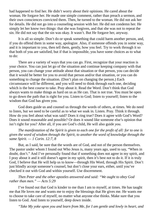had happened to find her. He didn't worry about their opinions. He cared about the woman. He forgave her. He made one simple comment, rather than preach a sermon, and their own consciences convicted them. Then, he turned to the woman. He did not ask her for details. He did not go into a counseling session with her. He did not condemn her. He simply let her know two things: that she was forgiven, and that she was not to repeat the sin. He did not say that the sin was okay. It wasn't. But He forgave her, anyway.

It is all so simple. Don't do or speak something that could harm another person, and, if you do offend them in some way, apologize. Also, if someone offends you in some way, and it is important to you, then tell them, gently, how you feel. Try to work through it so that both of you are satisfied, but if that is impossible, you have some choices as to what to do:

There are a variety of ways that you can go. First, recognize that your reaction is your choice. You can just let go of the situation and continue keeping company with that person, you can change your attitude about that situation or that person, you can decide that it would be better for you to avoid that person and/or that situation, or you can do something to change the situation. (Don't plan on changing the person.) Each circumstance will be different, and you will need to think through each one, deciding which is the best course to take. Pray about it. Read the Word. Don't think that God always wants to make things as hard on us as He can. That is not true. You must be open to go down the path that is right for you. Listen to God; listen to yourself; listen to the wisdom that God has given you.

God does guide us and counsel us through the words of others, at times. We do need to listen, but we need to be careful as to what we soak in. Listen. Pray. Think it through. How do you feel about what was said? Does it ring true? Does it agree with God's Word? Does it sound reasonable and possible? Or does it sound like someone else's opinion that isn't right for you? After all, if you are God's child, He will also guide *you*.

*The manifestation of the Spirit is given to each one for the profit of all: for to one is given the word of wisdom through the Spirit, to another the word of knowledge through the same Spirit. — 1 Corin. 12:7, 8*

But, as I said, be sure that the words are of God, and not of the person themselves. The pastor under whom I found out Who Jesus is, many years ago, used to say, "When in doubt, don't." And I've personally found that if something does not agree in my spirit, and I pray about it and it still doesn't agree in my spirit, then it's best not to do it. If it is truly God, I believe that He will help us to know—through His Word, through His Spirit. Don't just blindly accept someone's counsel, but don't close your ears, either, until you've checked it out with God and within yourself. Use discernment.

## *Then Peter and the other apostles answered and said: "We ought to obey God rather than men." — Acts 5:29*

I've found out that God is kinder to me than I am to myself, at times. He has taught me that He loves me and wants me to enjoy the blessings that He gives me. He wants me to choose to take care of myself, no matter what anyone else thinks. Make sure that you listen to God. And listen to yourself, deep down inside.

*"Take My yoke upon you and learn from Me, for I am gentle and lowly in heart, and*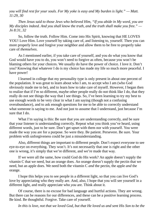*you will find rest for your souls. For My yoke is easy and My burden is light." — Matt. 11:29, 30*

*Then Jesus said to those Jews who believed Him, "If you abide in My word, you are My disciples indeed. And you shall know the truth, and the truth shall make you free." — Jn 8:31, 32*

So, follow the truth. Follow Him. Come into His Spirit, knowing that HE LOVES YOU! Love Him. Love yourself by taking care of, and listening to, yourself. Then you can more properly love and forgive your neighbor and allow them to be free to properly take care of *themselves*.

As I mentioned earlier, if you take care of yourself, and you do what you know that God would have you to do, you won't need to forgive as often, because you won't be blaming others for your choices. We usually do have the power of choice. I love it. Don't you? Knowing that whatever I do is my choice has made my life so much more peaceful. I have power!

I learned in college that my personality type is only present in about one percent of the population. It was great to learn about who I am, to accept who I am (who God obviously made me to be), and to learn how to take care of myself. However, I began then to realize that if I'm so different, maybe other people really do not think like I do, that they really do not see things the way that I see things. So, I've been learning to try my best to use enough words to be very clear in what I am saying (though not a confusing overabundance), and to ask enough questions for me to be able to correctly understand what someone is saying to me. And not just to assume that I understand, just because I'm sure that I do.

What I'm saying is this: Be sure that you are understanding correctly, and be sure that your listener is understanding correctly. Repeat what you think you've heard, using different words, just to be sure. Don't get upset with them nor with yourself. You were made the way you are for a purpose. So were they. Be patient. Persevere. Be sure. Your problem with unforgiveness could be just a misunderstanding.

Also, different things are important to different people. Don't expect everyone to see eye-to-eye on everything. They won't. It's not necessarily that one is right and the other one is wrong, it's simply that we're different, and we're made that way.

If we were all the same, how could God do His work? An apple doesn't supply the vitamin C that we need, but an orange does. An orange doesn't supply the pectin that we need, but an apple does. We need both the vitamin C *and* the pectin, the apple *and* the orange.

I hope this helps you to see people in a different light, so that you can live God's love by appreciating who they really are. And, also, I hope that you will see yourself in a different light, and really appreciate who *you* are. Think about it.

Of course, there is no excuse for bad language and hurtful actions. They are wrong. But there can be reasons for our differences, and these can be a positive learning process. Be kind. Be thoughtful. Forgive. Take care of yourself.

In this is love, not that we loved God, but that He loved us and sent His Son to be the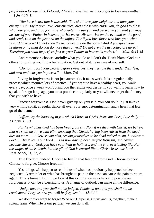*propitiation for our sins. Beloved, if God so loved us, we also ought to love one another. — 1 Jn 4:10, 11*

*"You have heard that it was said, 'You shall love your neighbor and hate your enemy.'But I say to you, love your enemies, bless those who curse you, do good to those who hate you, and pray for those who spitefully use you and persecute you, that you may* be sons of your Father in heaven; for He makes His sun rise on the evil and on the good, *and sends rain on the just and on the unjust. For if you love those who love you, what reward have you? Do not even the tax collectors do the same? And if you greet your brethren only, what do you do more than others? Do not even the tax collectors do so? Therefore you shall be perfect, just as your Father in heaven is perfect." — Matt. 5:43-48*

And remember, choose carefully what you do and don't do. Don't blame God nor others for putting you into a bad situation. Get out of it. Take care of yourself.

*"Do not … cast your pearls before swine, lest they trample them under their feet, and turn and tear you in pieces." — Matt. 7:6*

Living in forgiveness is not just automatic. It takes work. It is a regular, daily process which requires lots of practice. If you want to have a healthy heart, you walk every day; once a week won't bring you the results you desire. If you want to learn how to speak a foreign language, you must practice it regularly or you will never get the fluency that you wish to have.

Practice forgiveness. Don't ever give up on yourself. You *can* do it. It just takes a very willing spirit, a regular dance all over your ego, determination, and a heart that lets go of the blame.

*I affirm, by the boasting in you which I have in Christ Jesus our Lord, I die daily. — 1 Corin. 15:31*

*For he who has died has been freed from sin. Now if we died with Christ, we believe that we shall also live with Him, knowing that Christ, having been raised from the dead, dies no more… . Likewise you also, reckon yourselves to be dead indeed to sin, but alive to God in Christ Jesus our Lord… . But now having been set free from sin, and having become slaves of God, you have your fruit to holiness, and the end, everlasting life. For* the wages of sin is death, but the gift of God is eternal life in Christ Jesus our Lord. — *Rom. 6:7-9, 11, 22, 23*

True freedom, indeed. Choose to live in that freedom from God. Choose to obey. Choose to forgive. Choose freedom!

Yes, things will happen to remind us of what has previously happened or been neglected. A reminder of what has brought us pain in the past can cause the pain to return again. This is human. But, if we look at this occurrence as a chance to practice our forgiveness, it can be a blessing to us. A change of outlook can make all the difference.

*"Judge not, and you shall not be judged. Condemn not, and you shall not be condemned. Forgive, and you will be forgiven." — Lk 6:37*

We don't ever want to forget Who our Helper is. Christ and us, together, make a strong team. When He is our partner, we *can* do it all.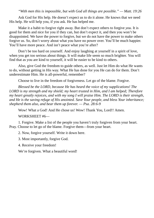*"With men this is impossible, but with God all things are possible." — Matt. 19:26*

Ask God for His help. He doesn't expect us to do it alone. He knows that we need His help. He will help you, if you ask. He has helped me.

Make it a habit to forgive right away. But don't expect others to forgive *you*. It is good for them and nice for you if they can, but don't expect it, and then you won't be disappointed. We have the power to forgive, but we do not have the power to make others forgive us. So, don't worry about what you have no power over. You'll be much happier. You'll have more peace. And isn't peace what you're after?

Don't be too hard on yourself. And enjoy laughing at yourself in a spirit of love, when you get too serious about things. It will make life seem so much brighter. You will find that as you are kind to yourself, it will be easier to be kind to others.

Also, give God the freedom to guide others, as well. Just let Him do what He wants to do, without getting in His way. What He has done for you He can do for them. Don't underestimate Him. He is all-powerful, remember?

Choose to live in the freedom of forgiveness. Let go of the blame. Forgive.

*Blessed be the LORD, because He has heard the voice of my supplications! The LORD is my strength and my shield; my heart trusted in Him, and I am helped; Therefore my heart greatly rejoices, and with my song I will praise Him. The LORD is their strength, and He is the saving refuge of His anointed. Save Your people, and bless Your inheritance; shepherd them also, and bear them up forever. — Psa. 28:6-9*

Wow! What a God! And He chose us! Wow! Thank You, Lord!! Amen.

WORKSHEET #6—

1. Forgive. Make a list of the people you haven't truly forgiven from your heart. Pray. Choose to let go of the blame. Forgive them—from your heart.

2. Now, forgive yourself. Write it down here.

3. Most importantly, forgive God.

4. Receive your freedom!

We're forgiven. What a beautiful word!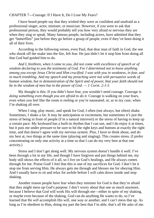CHAPTER 7—Courage: If I Have It, Do I Lose My Fears?

I have heard people say that they wished they were as confident and unafraid as a professional singer, actor, minister, or musician. However, if you were to ask that professional person, they would probably tell you how very afraid or nervous they are when they sing or speak. Many famous people, including actors, have admitted that they get "butterflies" just before they go before a group of people, even if they've been doing it all of their lives.

According to the following verses, even Paul, that dear man of faith in God, the one who shook off the snake into the fire, felt fear. He just didn't let it stop him from doing all that God had guided him to do.

*And I, brethren, when I came to you, did not come with excellence of speech or of wisdom declaring to you the testimony of God. For I determined not to know anything among you except Jesus Christ and Him crucified. I was with you in weakness, in fear, and in much trembling. And my speech and my preaching were not with persuasive words of human wisdom, but in demonstration of the Spirit and of power, that your faith should not be in the wisdom of men but in the power of God. — 1 Corin. 2:1-5*

My thought is this: If you didn't have fear, you wouldn't need courage. *Courage is doing something even though you are afraid to do it.* Courage is walking on your fears, even when you feel like the room is reeling or you're nauseated, or, as in my case, when I'm shaking all over.

When I sing, play music, and speak for God, I often (not always, but often) shake. Sometimes, I shake a lot. It may be anticipation or excitement, but sometimes it's just the stress of being in front of people (I'm a natural introvert) or the stress of having to keep up a certain pace. My keyboard has a built-in rhythm that I can use, and I do enjoy it at times, but it puts me under pressure to be sure to hit the right keys and buttons at exactly the right time, and that doesn't agree with my nervous system. Plus, I have to think about, and do my best at, two things at the same time (playing and singing). This creates stress. (I prefer concentrating on only one activity at a time so that I can do my very best at that one activity.)

Stress and I don't get along well. My nervous system doesn't handle it well. I've been through a lot in my life, and though I have forgiven and put things behind me, my body still shows the effects of it all, so I live on God's healings, and He always comes through for me. Praise God! I feel that this is one of my sacrifices for God. I don't let it stop me from serving Him. He always gets me through and blesses me for obeying Him. And I usually have to sit and relax for awhile before I will calm down inside and stop shaking.

Another reason people have fear when they minister for God is that they're afraid that they might mess up God's purpose. I don't worry about that one as much anymore, because I believe that God will work His will through me—either in spite of my shaking, or maybe even because of the shaking. God can do anything He wants to do, so I've learned that He *will* accomplish His will, one way or another, and I can't mess that up. As long as I'm obedient to Him, doing my part the best that I'm able, that's all He asks of me.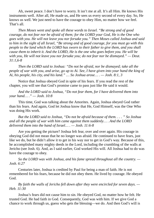Ah, sweet peace. I don't have to worry. It isn't me at all. It's all Him. He knows His instruments well. After all, He made us, and He sees us every second of every day. So, He knows us well. We just need to have the courage to obey Him, no matter how we feel. That's all.

*Then Moses went and spoke all these words to Israel. "Be strong and of good courage, do not fear nor be afraid of them; for the LORD your God, He is the One who goes with you. He will not leave you nor forsake you." Then Moses called Joshua and said* to him in the sight of all Israel, "Be strong and of good courage, for you must go with this *people to the land which the LORD has sworn to their father to give them, and you shall cause them to inherit it. And the LORD, He is the one who goes before you. He will be with you, He will not leave you nor forsake you; do not fear nor be dismayed." — Deut. 31:1,6-8*

*Then the LORD said to Joshua: "Do not be afraid, nor be dismayed; take all the* people of war with you, and arise, go up to Ai. See, I have given into your hand the king of *Ai, his people, his city, and his land." … So Joshua arose… . — Josh. 8:1, 3*

Notice that Joshua obeyed God in spite of his fears. If you read the rest of the chapter, you will see that God's promise came to pass just like He said it would.

*And the LORD said to Joshua, "Do not fear them, for I have delivered them into your hand… ." — Josh. 10:8*

This time, God was talking about the Amorites. Again, Joshua obeyed God rather than his fears. And again, God let Joshua know that He, God Himself, was the One Who was doing His work.

*But the LORD said to Joshua, "Do not be afraid because of them. . . . " So Joshua and all the people of war with him came against them suddenly… . And the LORD delivered them into the hand of Israel… . — Josh. 11:6-8*

Are you getting the picture? Joshua felt fear, over and over again. His courage in obeying God did not mean that he no longer was afraid. He continued to have fears, just like we do, but he didn't allow it to get in his way nor to get in God's way. Because of this, he accomplished many mighty deeds in the Lord, including the crumbling of the walls at Jericho (see Josh. 6). And, as I said earlier, God worked His will. All Joshua had to do was have the courage to obey.

*So the LORD was with Joshua, and his fame spread throughout all the country. — Josh. 6:27*

Centuries later, Joshua is credited by Paul for being a man of faith. He is not remembered for his fears, because he did not obey them. He lived by courage. He obeyed God.

*By faith the walls of Jericho fell down after they were encircled for seven days. — Heb. 11:30*

Joshua's fears did not cause him to sin. He obeyed God, no matter how he felt. He trusted God. He had faith in God. Consequently, God was with him. If we give God a chance to work through us, guess who gets the blessing—we do. And then God's will is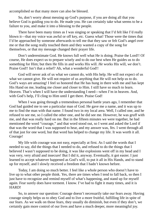accomplished so that many more can also be blessed.

So, don't worry about messing up God's purpose, if you are doing all that you believe God is guiding you to do. He made you. He can certainly take what seems to be a failure to you, and make it into a blessing to the people.

There have been many times as I was singing or speaking that I'd felt like I'd really blown it—that my voice was awful or off key, *etc.* Guess what! Those were the times that I'd be approached by someone afterwards to tell me that they saw or felt God's angel over me or that the song really touched them and they wanted a copy of the song for themselves, or that my message changed their prayer life.

Don't underestimate God. He knows full well what He is doing. Praise the Lord!! Of course, He does expect us to prepare wisely and to do our best when He guides us to do something for Him; but then He fills in and works His will. *He* works His will, *we* don't. Praise God!! Isn't that a relief? Ah, what a wonderful God!!

God will never ask of us what we cannot do, with His help. He will not expect of us what we cannot give. He will not require of us anything that He will not help us to do. God's ways are amazing! I feel so honored that He has hung in there with me and has kept His Hand on me, leading me closer and closer to Him. I still have so much to learn. Heaven. That's when I will have the understanding I need—when I'm in heaven. And, with God's help, I'll cling to Him until I get there. Praise God!

When I was going through a tremendous personal battle years ago, I remember that God had guided me to see a particular man of God. He gave me a name, and it was up to me to find the man with that name. I found two in my local area. Well, I called one, and he refused to see me, so I called the other one, and he did see me. However, he was gruff with me, and that was really hard on me. But in the fifteen minutes we were together, he had mentioned the word "courage," and that word stood out, so I went and asked the Lord if that was the word that I was supposed to hear, and my answer was, *Yes.* I went through all of that just for one word, but that word has helped to change my life. It was worth it all. Courage!

My life with courage was not easy, especially at first. As I said the words that I needed to say, did the things that I needed to do, and refused to do the things that I believed I wasn't supposed to be doing, it was like explosions went off in my head and I was very, very afraid and insecure! But I did it, anyway. Eventually, it got easier. I just learned to accept whatever happened as God's will, to put it all in His Hands, and to stand up for myself, and I slowly received a freedom that I hadn't known before.

Today, I am doing so much better. I feel like a whole person who doesn't have to live up to what other people think. Yes, there are times when I tend to fall back, so then I just have to recognize and remind myself of what's happening, and stand up for myself again. Fear surely does have torment. I know. I've had to fight it many times, and it is HARD!

So, to answer our question: Courage doesn't necessarily take our fears away. Having courage simply helps us to obey God and to live a more fruitful, fulfilling life in spite of our fears. As we walk on those fears, they usually do diminish, but even if they don't, we certainly gain more control of our lives and have a much deeper, more meaningful joy.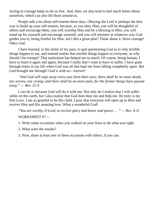Acting in courage helps to set us free. And, then, we also tend to feel much better about ourselves, which can also lift those around us.

People talk a lot about self-esteem these days. Obeying the Lord is perhaps the best way to build up your self-esteem, because, as you obey Him, you will be thoughtful of others and encourage them, you will worship Him and be a blessing to Him, you will stand up for yourself and encourage yourself, and you will minister in whatever way God guides you to, being fruitful for Him. Isn't this a great plan? Think about it. Have courage! Obey God.

I have learned, in the midst of my pain, to quit questioning God as to why terrible things happen to me, and instead realize that terrible things happen to everyone, so why should I be exempt? That realization has helped me so much. Of course, being human, I have to learn it again and again, because I really don't want to have to suffer. I have gone through times in my life when God was all that kept me from falling completely apart. But God brought me through! God is with us—forever!

*"And God will wipe away every tear from their eyes; there shall be no more death, nor sorrow, nor crying; and there shall be no more pain, for the former things have passed away." — Rev. 21:4*

I *can* do it, because God will do it with me. Not only do I realize that I will suffer while on this earth, but I also realize that God does hear me and help me. He truly is my first Love. I am so grateful to be His child. I pray that everyone will open up to Him and receive Him and His amazing love. What a wonderful God!

*"You are worthy, O Lord, to receive glory and honor and power… ." — Rev. 4:11* WORKSHEET #7—

1. Write some occasions when you walked on your fears to do what was right.

2. What were the results?

3. Now, share at least one of these occasions with others, if you can.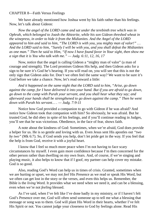#### CHAPTER 8—Faith Versus Feelings

We have already mentioned how Joshua went by his faith rather than his feelings. Now, let's talk about Gideon:

*Now the angel of the LORD came and sat under the terebinth tree which was in Ophrah, which belonged to Joash the Abiezrite, while his son Gideon threshed wheat in the winepress, in order to hide it from the Midianites. And the Angel of the LORD appeared to him and said to him, "The LORD is with you, you mighty man of valor!" … And the LORD said to him, "Surely I will be with you, and you shall defeat the Midianites* as one man." Then he said to Him, "If now I have found favor in Your sight, then show me *a sign that it is You who talk with me." — Judg. 6:11, 12, 16, 17*

Now, notice that the angel is calling Gideon a "mighty man of valor" (a man of courage and strength). The Lord promises Gideon His help, and then Gideon asks for a sign to be sure it's God he's hearing. If you will read on, you will see that this is not the only sign that Gideon asks for. Don't we often feel the same way? We want to be sure it's God before we take a chance. Now, let's read onward a little:

*And it happened on the same night that the LORD said to him, "Arise, go down against the camp, for I have delivered it into your hand. But if you are afraid to go down, go down to the camp with Purah your servant, and you shall hear what they say; and afterward your hands shall be strengthened to go down against the camp." Then he went down with Purah his servant… . — Judg. 7:9-11*

Notice how God provided a companion to go with Gideon if he was afraid? And notice how Gideon took that companion with him? So obviously, he was afraid. But he trusted God, he did obey in spite of his feelings, and if you'll continue reading in Judges, you'll see that he was victorious. Obedience, in the face of fear, shows faith.

A note about the kindness of God: Sometimes, when we're afraid, God does provide a helper for us. He is so gentle and loving with us. Even Jesus sent His apostles out *"two by two"* (Mk 6:7). So, if God sends you help, don't let pride get in the way. If you feel that the help is from God, receive it with a joyful heart.

I know that I feel so much more peace when I'm not having to face scary circumstances by myself. I even gain more confidence because I'm then concerned for the other person rather than dwelling on my own fears. And, of course, if we're singing and playing music, it also helps to know that if I goof, my partner can help cover my mistake. God is so good.

Also, reading God's Word can help us in times of crisis. Granted, sometimes when we are hurting or upset, we may not *feel* His Presence as we read or speak His Word, but we often can get lost in the story or the verses, and even this helps us. Remember, the Bible is the *living* Word. It provides what we need when we need it, and can be a blessing, even when we're not *feeling* blessed.

As I've said, when I've felt like I've done badly in my ministry, or if I haven't felt God's Presence over me, God will often send someone up to tell me what a blessing that message or song was to them. God will plant His Word in their hearts, whether I've felt His Spirit or not. You cannot judge your closeness to God by feelings alone. Read His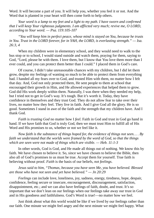Word. It will become a part of you. It will help you, whether you feel it or not. And the Word that is planted in your heart will then come forth to help others.

*Your word is a lamp to my feet and a light to my path. I have sworn and confirmed that I will keep Your righteous judgments. I am afflicted very much; revive me, O LORD, according to Your word. — Psa. 119:105-107*

*"You will keep him in perfect peace, whose mind is stayed on You, because he trusts in You. Trust in the LORD forever, for in YAH, the LORD, is everlasting strength." — Isa. 26:3, 4*

When my children were in elementary school, and they would need to walk to the bus stop or to school, I would stand outside and watch them, praying for them, saying to God, "Lord, please be with them. I love them, but I know that You love them more than I ever could, and you can protect them better than I could." I placed them in God's care.

Of course, I didn't take unreasonable chances with my children, but I did let them grow, despite my feelings of wanting so much to be able to protect them from everything bad. I handed all my fears over to God, and trusted Him with them, no matter how I felt that day. And, God not only protected them, He sent people to them at school that encouraged their growth in Him, and He allowed experiences that helped them to grow. God did His work deeply within them. Naturally, I was there when they needed my help, but I tried not to get in God's way. It's tough. But it's worth it. Today, they have confidence in themselves and they trust God. They do not allow fear to take over their lives, no matter how they feel. They live in faith. And I give God all the glory. He is so good. Sometimes I stand in awe of the faith and the strength that my children have. And I thank God.

*Faith* is *trusting God* no matter how I *feel.* Faith in God and trust in God go hand in hand. If we have faith that God is truly God, then we must trust Him to fulfill all of His Word and His promises to us, whether or not we feel like it.

*Now faith is the substance of things hoped for, the evidence of things not seen… . By faith we understand that the worlds were framed by the word of God, so that the things which are seen were not made of things which are visible. — Heb. 11:1-3*

In other words, God is God, and He made all things out of nothing. We know this by faith. We have chosen to believe it. So, since we have chosen to believe the Bible, then also all of God's promises to us must be true. Accept them for yourself. True faith is believing without proof. *Faith* is the basis of our beliefs, *not feelings*.

*Jesus said to him, "Thomas, because you have seen Me, you have believed. Blessed are those who have not seen and yet have believed." — Jn 20:29*

*Feelings* can include love, loneliness, joy, sadness, energy, tiredness, hope, despair, confidence, feeling secure or insecure, encouragement, discouragement, satisfaction, disappointment, etc.; and we can also have feelings of faith, doubt, and trust. It's so important that we don't lean on our feelings when our feelings take away our trust in God and in His goodness and faithfulness. God's Word is true!—no matter how we feel.

Just think about what this world would be like if we lived by our feelings rather than our faith. One minute we might feel angry and the next minute we might feel happy. What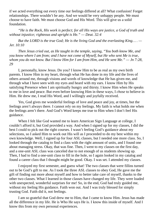if we acted everything out every time our feelings differed at all? What confusion! Forget relationships. There wouldn't be any. And we would be very unhappy people. We must choose to have faith. We must choose God and His Word. This will give us a solid foundation.

*"He is the Rock, His work is perfect; for all His ways are justice, a God of truth and without injustice; righteous and upright is He." — Deut. 32:4*

*But the LORD is the true God; He is the living God and the everlasting King… . — Jer. 10:10*

*Then Jesus cried out, as He taught in the temple, saying, "You both know Me, and you know where I am from; and I have not come of Myself, but He who sent Me is true,* whom you do not know. But I know Him for I am from Him, and He sent Me."  $-$  Jn 7:28, *29*

I, personally, know Jesus. Do you? I know Him to be as real as my own birth parents. I know Him in my heart, through what He has done in my life and the lives of others around me, through visions and words of knowledge that He has given me, and through what I have seen with my eyes and heard with my ears. I know Him by His satisfying Presence when I am spiritually hungry and thirsty. I know Him when He speaks to me in love and peace. But even before knowing Him in these ways, I *chose* to believe in Him. He drew me, I read His Word, and I willingly and joyfully received.

Yes, God gives me wonderful feelings of love and peace and joy, at times, but the feelings aren't always there. I cannot rely on my feelings. My faith is what holds me when the feelings aren't there. And God's Word keeps me true to Him when I don't feel His guidance.

When I felt like God wanted me to learn American Sign Language at college, I couldn't afford it, but God provided a way. And when I signed up for my classes, I did the best I could to pick out the right courses. I wasn't feeling God's guidance about my selections, so I asked Him to work out His will as I proceeded to do my best within my own knowledge. Well, I signed up for four ASL classes, but I needed one more class. So, I looked through the catalog to find a class with the right amount of units, and I found one about managing stress. Okay, that was fine. Then, I went to my classes on the first day, and a one-unit ASL class was canceled due to not enough of us students showing up. Then, I had to find a one-unit class to fill in the hole, so I again looked in my catalog and found a career class that I thought might be good. Okay. I was set. I attended my classes.

I enjoyed my first semester, and guess what! The two classes that were fillins turned out to be God's gift to me. As I took the three ASL classes to obey God, He gave me the gift of finding out more about myself and how to better take care of myself, thanks to the other two classes. What I learned in those classes have changed my life. They were loaded with unexpected, wonderful surprises for me! So, in the end, God had truly guided me, without my feeling His guidance. Faith won out. And I was truly blessed for simply trusting God. Faith did it, not feelings.

I am so grateful that God drew me to Him, that I came to know Him. Jesus has made all the difference in my life. He is Who He says He is. I know this inside of myself. And I know this from my own personal experiences.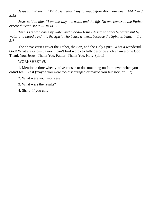*Jesus said to them, "Most assuredly, I say to you, before Abraham was, I AM." — Jn 8:58*

*Jesus said to him, "I am the way, the truth, and the life. No one comes to the Father except through Me." — Jn 14:6*

*This is He who came by water and blood—Jesus Christ; not only by water, but by* water and blood. And it is the Spirit who bears witness, because the Spirit is truth.  $-1$  Jn *5:6*

The above verses cover the Father, the Son, and the Holy Spirit. What a wonderful God! What a glorious Savior! I can't find words to fully describe such an awesome God! Thank You, Jesus! Thank You, Father! Thank You, Holy Spirit!

WORKSHEET #8—

1. Mention a time when you've chosen to do something on faith, even when you didn't feel like it (maybe you were too discouraged or maybe you felt sick, or… ?).

2. What were your motives?

3. What were the results?

4. Share, if you can.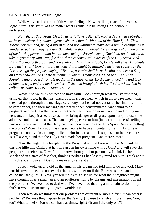#### CHAPTER 9—Faith Versus Logic

Well, we've talked about faith versus feelings. Now we'll approach faith versus logic. *Faith* is *trusting God* no matter what I *think*. It is believing God, without understanding.

*Now the birth of Jesus Christ was as follows: After His mother Mary was betrothed to Joseph, before they came together, she was found with child of the Holy Spirit. Then Joseph her husband, being a just man, and not wanting to make her a public example, was minded to put her away secretly. But while he thought about these things, behold, an angel of the Lord appeared to him in a dream, saying, "Joseph, son of David, do not be afraid to take to you Mary your wife, for that which is conceived in her is of the Holy Spirit. And she will bring forth a Son, and you shall call His name JESUS, for He will save His people from their sins." Now all this was done that it might be fulfilled which was spoken by the Lord through the prophet, saying: "Behold, a virgin shall be with child, and bear a Son, and they shall call His name Immanuel," which is translated, "God with us." Then Joseph, being aroused from sleep, did as the angel of the Lord commanded him and took to him his wife, and did not know her till she had brought forth her firstborn Son. And he called His name JESUS. — Matt. 1:18-25*

Wow! And we think *we* need to have faith? Look through what you've just read, using earthly logic: In the first place, Joseph's betrothed (which in those days meant that they had gone through the marriage ceremony, but he had not yet taken her into his home to care for her, and their marriage had not yet been consummated) was found to be pregnant, and he knew that he was not the father. Then, obviously a kind and loving man, he wanted to keep it a secret so as not to bring danger or disgrace upon her (in those times, adultery could mean death). Then an angel appeared to him (in a dream, no less!) telling him not to be afraid, that the Baby had been conceived by the Holy Spirit! Are you getting the picture? Wow! Talk about asking someone to have a mountain of faith! His wife is pregnant—not by him, an angel talks to him in a dream, he is supposed to believe that she is still a virgin and that the Holy Spirit made her pregnant! And there's more!:

Now, the angel tells Joseph that the Baby that will be born will be a Boy, and that this one little tiny Child that he will raise in his own home will be GOD and will save His people from their sins. Now, I don't know about you, but personally, I think I'd be in shock and in a state of disbelief, thinking perhaps I had lost my mind for sure. Think about it. Is this at all logical? Does this make any sense at all?

Joseph woke up and did as the angel in his dream had told him to do and took Mary into his own home, had no sexual relations with her until this Baby was born, and he called the Baby, Jesus. Now, you tell me, is this a set-up for what their neighbors might have thought of as a madman and an adulteress living by dreams and imagination? In all the problems I've ever had to deal with I've never had that big a mountain to absorb by faith. It would seem totally illogical, wouldn't it?

Then why do we think that our problems are different or more difficult than others' problems? Because they happen to *us*, that's why. (I pause to laugh at myself here. You, too? What tunnel vision we can have at times, right? Or am I the only one?)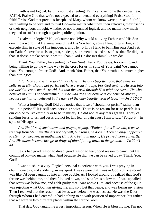Faith is not logical. Faith is not just a feeling. Faith can overcome the deepest fear. FAITH. Praise God that we're not expected to understand everything! Praise God for faith! Praise God that precious Joseph and Mary, whom we know were pure and faithful, were willing to believe and to trust God—no matter what they, their relatives, their friends or their neighbors thought; whether or not it sounded logical; and no matter how much they had to suffer through negative public opinion.

Is salvation logical? No, of course not. Why would a loving Father send His Son down to a world that He knew would treat His Son badly, abuse Him, torture Him, and execute Him in spite of His innocence, and He not lift a Hand to bail Him out? And yet, our Father's love for us is so great, so deep, so tremendous and so selfless that He did just that. It doesn't make sense, does it? Thank God He doesn't think like we do!

Thank You, Father, for sending us Your Son! Thank You, Jesus, for coming and being willing to go the whole way to the cross for us, in spite of Your pain! We cannot thank You enough! Praise God!! And, thank You, Father, that Your truth is so much higher than our logic!

*"For God so loved the world that He sent His only begotten Son, that whoever believes in Him should not perish but have everlasting life. For God sent not His Son into the world to condemn the world, but that the world through Him might be saved. He who believes in Him is not condemned; but he who does not believe is condemned already, because he has not believed in the name of the only begotten Son of God." — Jn 3:16-18*

What a forgiving God! Did you notice that it says "should not perish" rather than "will not perish?" It is still each person's choice. There is no reason for us to perish. It's our choice to live eternally or to be in misery. He did not let any fears get in His way of sending Jesus to us, and Jesus did not let His fear of pain cause Him to say, "Forget it!" in spite of His agony.

*And He [Jesus] knelt down and prayed, saying, "Father, if it is Your will, remove this cup from Me; nevertheless not My will, but Yours, be done." Then an angel appeared to Him from heaven, strengthening Him. And being in agony, He prayed more earnestly. And His sweat became like great drops of blood falling down to the ground. — Lk 22:41- 44*

Jesus had good reason to dread, good reason to fear, good reason to panic, but He continued on—no matter what. And because He did, we can be saved today. Thank You, God!

I want to share a very illogical personal experience with you. I was praying in church one day, and suddenly, in my spirit, I was aware that I was in God's throne room! It was like I'd been caught up into a huge bubble. As I looked around, I realized that God's throne was behind me, and then I looked down, and saw Jesus below me. I was appalled that Jesus was below me, and I felt guilty that I was above Him, and because of the guilt, I was rejecting what God was giving me, and so I lost that peace, and was losing my vision. Then I realized that the reason that Jesus was below me was because He was the Door through Whom I had entered. It had nothing to do with position of importance, but rather that we were in two different places within the throne room.

That day, God taught me a very important lesson. When He is blessing me, I'm not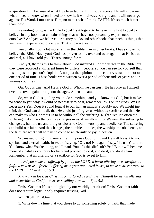to question Him because of what I've been taught. I'm just to receive. He will show me what I need to know when I need to know it. It will always be right, and it will never go against His Word. I must trust Him, no matter what I think. FAITH. It's so much better than logic.

Regarding logic, is the Bible logical? Is it logical to believe in it? Is it logical to believe in any book that contains things that we have not personally experienced ourselves? And yet, we believe our history books and other books that teach us things that we haven't experienced ourselves. That's how we learn.

Personally, I put a lot more faith in the Bible than in other books. I have chosen to believe the Bible. Have you? God has proven to me, over and over again, that He is true and real, as I have told you. That's enough for me.

And yet, there is this to think about: God inspired all of the verses in the Bible, but they were recorded at different times by different people, so you can see for yourself that it's not just one person's "opinion", not just the opinion of one country's tradition nor of one period of time. These books were written over a period of thousands of years and in various countries.

Our God is true! And He is a God in Whom we can trust! He has proven Himself over and over again throughout the ages. Amen and amen!

So, when God is guiding you to do something, and you know it's God, but it makes no sense to you why it would be necessary to do it, remember Jesus on the cross. Was it necessary? Yes. Does it sound logical to our human minds? Probably not. We might just think that God can do it all, that He could just forgive us without a sacrifice and that He can make us who He wants us to be without all the suffering. Right? Yet, it's often the suffering that *causes* the positive changes in us, if we allow it to. We need the suffering to change us, humble us, and bring us closer to God in worship and obedience. The suffering can build our faith. And the changes, the humble attitudes, the worship, the obedience, and the faith are what will help us to come to an eternity of joy in heaven.

So, instead of fighting your suffering, praise God for it, and He will bless it to your spiritual and eternal health. Instead of saying, "Oh, no! Not again!" say, "I trust You, Lord. You know what You're doing, and I thank You." Is this difficult? Yes! But it will become more of a habit as you pray for help and proceed to do it, and do it, and do it again. Remember that an offering or a sacrifice for God is sweet to Him.

*"'And you make an offering by fire to the LORD, a burnt offering or a sacrifice, to* fulfill a vow or as a freewill offering or in your appointed feasts, to make a sweet aroma to *the LORD. …'" — Num. 15:3*

*And walk in love, as Christ also has loved us and given Himself for us, an offering and a sacrifice to God for a sweet-smelling aroma. — Eph. 5:2*

Praise God that He is not logical by our worldly definition! Praise God that faith does not require logic. It only requires trusting God.

### WORKSHEET #9—

1. Write down a time that you chose to do something solely on faith that made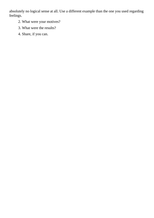absolutely no logical sense at all. Use a different example than the one you used regarding feelings.

- 2. What were your motives?
- 3. What were the results?
- 4. Share, if you can.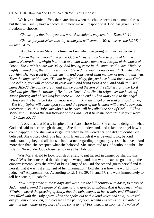CHAPTER 10—Fear? or Faith? Which Will You Choose?

We have a choice!! Yes, there are times when the choice seems to be made for us, but then we usually have a choice as to how we will respond to it. God has given us the freedom to choose.

*"Choose life, that both you and your descendants may live." — Deut. 30:19*

*"Choose for yourselves this day whom you will serve… .We will serve the LORD." — Josh.24:15*

Let's check in on Mary this time, and see what was going on in *her* experience:

*Now in the sixth month the angel Gabriel was sent by God to a city of Galilee named Nazareth, to a virgin betrothed to a man whose name was Joseph, of the house of David. The virgin's name was Mary. And having come in, the angel said to her, "Rejoice, highly favored one, the Lord is with you; blessed are you among women!" But when she saw him, she was troubled at his saying, and considered what manner of greeting this was. Then the angel said to her, "Do not be afraid, Mary, for you have found favor with God. And behold, you will conceive in your womb and bring forth a Son, and shall call His name JESUS. He will be great, and will be called the Son of the Highest; and the Lord God will give Him the throne of His father David, And He will reign over the house of Jacob forever, and of His kingdom there will be no end." Then Mary said to the angel, "How can this be, since I do not know a man?" And the angel answered and said to her, "The Holy Spirit will come upon you, and the power of the Highest will overshadow you; therefore, also, that Holy One who is to be born will be called the Son of God… ." Then Mary said, "Behold the maidservant of the Lord! Let it be to me according to your word." — Lk 1:26-35, 38*

It's obvious that Mary, in spite of her fears, chose faith. She chose to delight in what God had said to her through the angel. She didn't understand, and asked the angel how it could happen, since she was a virgin, but when he answered her, she did not doubt. She believed. She trusted God. She had faith. Even though it was beyond logic, beyond understanding, beyond all that she had learned regarding pregnancy, yet she believed. And more than that, she accepted what she believed. She submitted to God without doubt. This is faith. No wonder God chose her to raise His Holy Son.

Was Mary afraid to look foolish or afraid to put herself in danger by sharing this news? Was she concerned that she may be wrong, and then would have to go through the embarrassment? Was she afraid of being laughed at? Did she second-guess herself and tell herself that it was just a figment of her imagination? Did she fear how the world might judge her? Apparently not. According to Lk 1:36, 39, 56, and 57, she went immediately to tell her cousin, Elizabeth:

*Now, Mary arose in those days and went into the hill country with haste, to a city of Judah, and entered the house of Zacharias and greeted Elizabeth. And it happened, when Elizabeth heard the greeting of Mary, that the babe leaped in her womb; and Elizabeth was filled with the Holy Spirit. Then she spoke out with a loud voice and said, "Blessed are you among women, and blessed is the fruit of your womb! But why is this granted to me, that the mother of my Lord should come to me? For indeed, as soon as the voice of*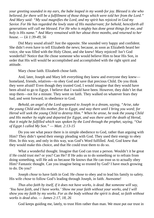*your greeting sounded in my ears, the babe leaped in my womb for joy. Blessed is she who believed, for there will be a fulfillment of those things which were told her from the Lord." And Mary said: "My soul magnifies the Lord, and my spirit has rejoiced in God my Savior. For He has regarded the lowly state of His maidservant; for behold, henceforth all generations will call me blessed. For He who is mighty has done great things for me, and holy is His name." And Mary remained with her about three months, and returned to her house. — Lk 1:39-49, 56*

Did Mary sound afraid? Just the opposite. She sounded very happy and confident. She didn't even have to tell Elizabeth the news; because, as soon as Elizabeth heard her voice, she was filled with the Holy Ghost, and she knew! Mary rejoiced! Isn't God wonderful? Notice that He chose someone who would believe Him to bear His Son, in order that His will would be accomplished and accomplished with the right spirit and attitude.

Mary chose faith. Elizabeth chose faith.

And, later, Joseph and Mary left everything they knew and everyone they knew homeland, friends, relatives—to obey God and save that precious Child. Do you think they were afraid? Even though they trusted God, I would imagine that they would have been afraid to go to Egypt. I believe that I would have been. However, they didn't let that stop them—not for a minute. They went on faith. They walked on whatever fears they had, and went forward, in obedience to God.

*Behold, an angel of the Lord appeared to Joseph in a dream, saying, "Arise, take the young Child and His mother, flee to Egypt, and stay there until I bring you word; for Herod will seek the young Child to destroy Him." When he arose, he took the young Child and His mother by night and departed for Egypt, and was there until the death of Herod, that it might be fulfilled which was spoken by the Lord through the prophet, saying, "Out of Egypt I called My Son." — Matt. 2:13-15*

Do you see what peace there is in simple obedience to God, rather than arguing with Him? They didn't spend their energy pleading with God. They used their energy to obey Him. In this way, and only in this way, was God's Word fulfilled. And, God knew that they would make this choice, and that He could trust them to do so.

What a wonderful thought. Imagine that God can trust a person. Wouldn't it be great if He could trust me? or you? Can He? If He asks us to do something or to refrain from doing something, will He ask us because He knows that He can trust us to actually obey Him? Fantastic thought. Can you imagine being so trusted by God? I have much growing to do. Do you?

Joseph *chose* to have faith in God. He chose to obey and to lead his family to safety. His wife *chose* to follow God's leading through Joseph, in faith. Awesome!

*Thus also faith by itself, if it does not have works, is dead. But someone will say, 'You have faith, and I have works.' Show me your faith without your works, and I will show you my faith by my works. For as the body without the spirit is dead, so faith without works is dead also. — James 2:17, 18, 26*

God keeps guiding me, lately, to trust Him rather than man. We must put our trust in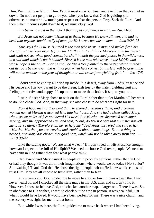Him. We must have faith in Him. *People* must *earn* our trust, and even then they can let us down. Do not trust people to guide you when you know that God is guiding you otherwise, no matter how much you respect or fear the person. Pray. Seek the Lord. And then, when it comes right down to it, we must obey God.

*It is better to trust in the LORD than to put confidence in man. — Psa. 118:8*

*But Jesus did not commit Himself to them, because He knew all men, and had no need that anyone should testify of man, for He knew what was in man. — John 2:24, 25*

*Thus says the LORD: "Cursed is the man who trusts in man and makes flesh his strength, whose heart departs from the LORD. For he shall be like a shrub in the desert, and shall not see when good comes, but shall inhabit the parched places in the wilderness, in a salt land which is not inhabited. Blessed is the man who trusts in the LORD, and whose hope is the LORD. For he shall be like a tree planted by the water, which spreads* out its roots by the river, and will not fear when heat comes; but its leaf will be green, and *will not be anxious in the year of drought, nor will cease from yielding fruit." — Jer. 17:5- 8*

I don't want to end up all dried up inside, in a desert, away from God's Presence and His peace and His joy. I want to be the green, lush tree by the water, yielding fruit and feeling productive and happy. It's up to me to make that choice. It's up to you, too.

Lazarus' sister Mary chose to wait on the Lord rather than to let Martha tell her what to do. She chose God. And, in that way, she also chose to do what was right for her:

*Now it happened as they went that He entered a certain village; and a certain woman named Martha welcomed Him into her house. And she had a sister called Mary, who also sat at Jesus'feet and heard His word. But Martha was distracted with much serving, and she approached Him and said, "Lord, do You not care that my sister has left me to serve alone? Therefore tell her to help me." And Jesus answered and said to her, "Martha, Martha, you are worried and troubled about many things. But one thing is needed, and Mary has chosen that good part, which will not be taken away from her." — Lk 10:38-42*

Like the saying goes, "We are what we eat." If I don't feed on His Presence enough, how can I expect to be full of His Spirit? We need to choose God over people. We need to have faith in God rather than fear what people think.

Had Joseph and Mary trusted in people or in people's opinions, rather than in God, or had they thought it was all in their imaginations, where would we be today? No Savior? Still waiting? Thank God that He chose the right people, whom He knew would choose to trust Him. May we all choose to trust Him, rather than to fear.

A few years ago, God guided me to move to another town. It was a town that I had never heard of, and I checked all the state maps in my U.S. atlas and couldn't find it. However, I chose to believe God, and checked another map, a larger one. There it was! So, in obedience to His wishes, I went to check out the area in person. It was beautiful, just what I would have loved. It would have been perfect for me. There was a nice church, and the scenery was right for me. I felt at home.

But, while I was there, the Lord guided me to move back where I had been living.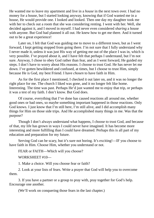He wanted me to leave my apartment and live in a *house* in the next town over. I had no money for a house, but I started looking anyway, knowing that if God wanted me in a house, He would provide one. I looked and looked. Then one day my daughter took me with her to check out a room that she was considering renting. I went with her. Well, she decided against it, and I moved in myself. I had never even considered *sharing* a house with anyone. But God had planned it all out. He knew how to get me there. And it turned out to be a great experience!

Later on, I felt that God was guiding me to move to a different town, but as I went forward, I kept getting stopped from going there. I'm not sure that I fully understand why I never made it, unless it was just His way of getting me out of the place I was in, which is very possible. I've prayed about it, and I have felt that perhaps I understand, but I'm not sure. Anyway, I chose to obey God rather than fear, and as I went forward, He guided my steps. I don't have to worry about His reasons. I choose to trust God. He has never let me down. I've gotten bewildered and confused, at times, but I choose to trust Him, simply because He is God, my best Friend. I have *chosen* to have faith in Him.

As for the first place I mentioned, I checked it out later on, and it was no longer the right place for me. The church I liked was gone, and it no longer felt like home. Interesting. The time was past. Perhaps He'd just wanted me to enjoy that trip, or perhaps it was a test of my faith. I don't know. But God does.

Of course, everything that I've done has caused reactions all around me, whether good ones or bad ones, so maybe something important happened in those reactions. Only God knows. I just know that I'm still here, I'm still alive, and I did accomplish many things for Him on those side trips. And He accomplished many things in me. Was that the purpose?

Though I don't always understand what happens, I choose to trust God, and because of that, my life has grown in ways I could never have imagined. It has become more interesting and more fulfilling than I could have dreamed. Perhaps this is all part of my education and preparation for my future.

Serving God can be scary, but it's sure not boring. It's exciting!—IF you choose to have faith in Him. Choose Him, whether you understand or not.

FEAR or FAITH—Which will you choose?

WORKSHEET #10—

1. Make a choice. Will you choose fear or faith?

2. Look at your lists of fears. Write a prayer that God will help you to overcome them.

3. If you have a partner or a group to pray with, pray together for God's help. Encourage one another.

(We'll work on conquering those fears in the last chapter.)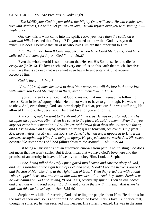CHAPTER 11—You Are Precious in God's Sight

*"The LORD your God in your midst, the Mighty One, will save; He will rejoice over you with gladness, He will quiet you in His love, He will rejoice over you with singing." — Zeph. 3:17*

One day, this is what came into my spirit: *I love you more than the cattle on a thousand hills*. I needed that. Do you? Do you need to know that God loves you that much? He does. I believe that all of us who love Him are that important to Him.

*"For the Father Himself loves you, because you have loved Me [Jesus], and have believed that I came forth from God." — Jn 16:27*

Even the whole world is so important that He sent His Son to suffer and die for *everyone* (Jn 3:16). He loves each and every one of us on this earth that much. Receive this Love that is so deep that we cannot even begin to understand it. Just receive it. Receive Him.

*God is love. — 1 Jn 4:8*

*"And I [Jesus] have declared to them Your name, and will declare it, that the love with which You loved Me may be in them, and I in them." — Jn 17:26*

If you still aren't convinced that God loves you that much, reread the following verses. Even in Jesus' agony, which He did not want to have to go through, He was willing to obey. And, even though God saw how deeply His dear, precious Son was suffering, He allowed Him to suffer, because of His great love for you and for me.

*And coming out, He went to the Mount of Olives, as He was accustomed, and His disciples also followed Him. When He came to the place, He said to them, "Pray that you may not enter into temptation." And He was withdrawn from them about a stone's throw, and He knelt down and prayed, saying, "Father, if it is Your will, remove this cup from Me; nevertheless not My will but Yours, be done." Then an angel appeared to Him from heaven, strengthening Him. And being in agony, He prayed more earnestly. And His sweat became like great drops of blood falling down to the ground. — Lk 22:39-44*

Just being a Christian is not an automatic cure-all from pain. And, trusting God does not mean that we won't suffer. But it does mean that we have God's love here and the promise of an eternity in heaven, if we love and obey Him. Look at Stephen:

*But he, being full of the Holy Spirit, gazed into heaven and saw the glory of God, and Jesus standing at the right hand of God, and said, "Look! I see the heavens opened and the Son of Man standing at the right hand of God!" Then they cried out with a loud voice, stopped their ears, and ran at him with one accord… . And they stoned Stephen as he was calling on God and saying, "Lord Jesus, receive my spirit." Then he knelt down and cried out with a loud voice, "Lord, do not charge them with this sin." And when he had said this, he fell asleep. — Acts 7:55-60*

Stephen was killed for serving God and telling the people about Him. He did this for the sake of their own souls and for the God Whom he loved. This is love. But notice that, though he suffered, he was received into heaven. His suffering ended. He was in the arms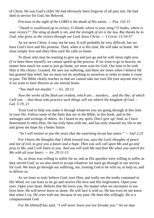of Christ. He was God's child. He had obviously been forgiven of all past sins. He had died in service for God, his Beloved.

*Precious in the sight of the LORD is the death of His saints. — Psa. 116:15*

*"Death is swallowed up in victory. O Death, where is your sting? O hades, where is* your victory?" The sting of death is sin, and the strength of sin is the law. But thanks be to *God, who gives us the victory through our Lord Jesus Christ. — 1 Corin. 15:54-57*

As we serve Christ, it may not be easy. It will probably be very difficult, but we have God's love and His promise. Then, when it is *His* time, He will take us home. We must simply love and obey Him until He calls us home.

To those who may be wanting to give up and just go and be with Jesus right now (I've been there myself): we cannot speed up the process. If we want to go to heaven, no matter how much we want to just go home, we must wait for God. Our time to be with Him is His choice. Granted, He sees our suffering, and there are times when I believe He has granted that relief, but *we* must not do anything to ourselves in order to make it come to pass. The Bible clearly teaches us that we cannot take our own life (nor anyone else's) if we want to have Heaven as our eternal home.

*"You shall not murder." — Ex. 20:13*

*Now the works of the flesh are evident, which are… murders… and the like; of which I tell you … that those who practice such things will not inherit the kingdom of God. – Gal. 5:19, 21*

Trust God to help you make it through whatever you are going through at this time in your life. Follow some of the hints that are in the Bible, in this book, and in the messages and writings of others. As I heard in my spirit, *Don't give up!* And, as I have determined to obey Him, He has truly been with me, and has truly restored my life to me and given me hope for a better future.

*"So I will restore to you the years that the swarming locust has eaten." — Joel 2:25*

*For I know the thoughts that I think toward you, says the Lord, thoughts of peace* and not of evil, to give you a future and a hope. Then you will call upon Me and go and pray to Me, and I will listen to you. And you will seek Me and find Me when you search for *Me with all your heart. — Jer. 29:11-13*

So, as Jesus was willing to suffer for us, and as His apostles were willing to suffer as they served God, so we also need to accept whatever we must go through in our service for God. We must go through our suffering, too, trusting God to be with us, to help us, and to deliver us.

As we learn to truly believe God, trust Him, and really see the truths contained in His Word, we can learn to let go and receive His love and His forgiveness. Open your eyes. Open your heart. Believe that He loves you. No matter what we encounter in our lives here, He will never leave us alone. He will face it with us. He has even let me know that when I cry, He cries with me, because of my pain. He does this willingly. He is a compassionate God.

*For He Himself has said, "I will never leave you nor forsake you." So we may*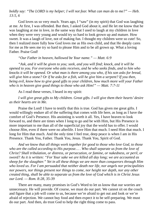*boldly say: "The LORD is my helper; I will not fear. What can man do to me?" — Heb. 13:5, 6*

God loves us so very much. Years ago, I "saw" (in my spirit) that God was laughing at me. At first, I was offended. But then, I asked God about it, and He let me know that he was laughing at me in love, in the same way that I used to laugh at my children in love when they were very young and would try so hard to look grown up and mature. How sweet. It was a laugh of love, not of making fun. I thought my children were so cute! So, then I realized more fully how God loves me as His own child, and that He deeply cares for me as He sees me try so hard to please Him and to be all grown up. What a loving Father. Praise God!

#### *"Our Father in heaven, hallowed be Your name." — Matt. 6:9*

*"Ask, and it will be given to you; seek, and you will find; knock, and it will be opened to you. For everyone who asks receives, and he who seeks finds, and to him who knocks it will be opened. Or what man is there among you who, if his son asks for bread,* will give him a stone? Or if he asks for a fish, will he give him a serpent? If you then, *being evil, know how to give good gifts to your children, how much more will your Father who is in heaven give good things to those who ask Him!" — Matt. 7:7-11*

As I read these verses, I heard in my spirit:

*I will give great gifts to My children. Great gifts. I will give them their hearts' desire as their hearts are in Me.*

Praise the Lord! I have to testify that this is true. God has given me great gifts. I would willingly endure all of the suffering that comes with life here, as long as I have the comfort of God's Presence. His anointing is worth it all. Yes, I have heaven to look forward to, and there are times when I long to go and be with Him, but His Presence is more important to me than all of the superficial joy that the world has to offer. I would choose *Him*, even if there were no afterlife. I love Him that much. I need Him that much. I long for Him that much. And the only time I feel true, deep peace is when I am in His Presence. Thank You, Father. Thank You, Jesus. Thank You, Spirit of God.

*And we know that all things work together for good to those who love God, to those who are the called according to His purpose… . Who shall separate us from the love of Christ? Shall tribulation, or distress, or persecution, or famine, or nakedness, or peril, or sword? As it is written: "For Your sake we are killed all day long; we are accounted as sheep for the slaughter." Yet in all these things we are more than conquerors through Him who loved us. For I am persuaded that neither death nor life, nor angels nor principalities nor powers, nor things present nor things to come, nor height nor depth, nor any other created thing, shall be able to separate us from the love of God which is in Christ Jesus our Lord. — Rom. 8:28, 35-39*

There are many, many promises in God's Word to let us know that our worries are unnecessary. He will provide. Of course, we must do our part. We cannot sit on the couch and figure that a job will come to us, because we're afraid to get out and look or we're afraid of rejection. We cannot buy food and then expect it to be self-preparing. We must do our part. And then, do trust God to help the right thing come to pass.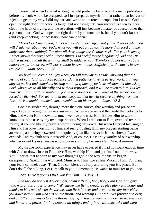I knew that when I started writing I would probably be rejected by many publishers before my work would be accepted, so I just prepared myself for that rather than let fear of rejection get in my way. I did my part and wrote and wrote to people, but I trusted God to open the right door. Rejection is tough, but not trying until you succeed is even tougher. Get in the habit of trying, and the rejections will just become a matter of course rather than a personal hurt. God will open the right door if you knock on it, but if you don't knock (and keep knocking, if necessary), how can it open?

*"Therefore I say to you, do not worry about your life, what you will eat or what you will drink; nor about your body, what you will put on. Is not life more than food and the body more than clothing? For after all these things the Gentiles seek. For your heavenly Father knows that you need all these things. But seek first the kingdom of God and His righteousness, and all these things shall be added to you. Therefore do not worry about tomorrow, for tomorrow will worry about its own things. Sufficient for the day is its own trouble." — Matt. 6:25, 32-34*

*My brethren, count it all joy when you fall into various trials, knowing that the testing of your faith produces patience. But let patience have its perfect work, that you may be perfect and complete, lacking nothing. If any of you lacks wisdom, let him ask of God, who gives to all liberally and without reproach, and it will be given to him. But let* him ask in faith, with no doubting, for he who doubts is like a wave of the sea driven and *tossed by the wind. For let not that man suppose that he will receive anything from the Lord; he is a double-minded man, unstable in all his ways. — James 1:2-8*

God has guided me, through more than one source, that worship and praise are major keys to having our prayers answered. When we give God the credit that belongs to Him, and we let Him know how much we love and trust Him, it frees Him to work. I know this to be true by my own experiences. When I cried out to Him, over and over, in misery, it seemed like my prayers weren't being answered. But when I started focusing on Him and His love, worshiping Him, and really trusting Him, my prayers starting being answered, and being answered more quickly (just like it says in James, above). I was excited! And my faith was increased! And, of course, He is truly worthy of our worship, whether or not He ever answered our prayers, simply because *He is God*. Awesome!

My throne room experience may never have occurred if I had not spent enough time with God to draw close to Him, love Him, worship Him, and get "me" out of the way. You'll notice that as soon as my own thoughts got in the way, the vision began disappearing. Spend time with God. Minister to Him. Love Him. Worship Him. For then, your fears can melt away. Then, God can bless you fully and bring you His peace. But don't do all the talking. Let Him talk to you. Remember, He wants to minister to you, too.

#### *Because He is your LORD, worship Him. — Psa.45:11*

*And they do not rest day or night, saying: "Holy, holy, holy, Lord God Almighty, Who was and is and is to come!" Whenever the living creatures give glory and honor and thanks to Him who sits on the throne, who lives forever and ever, the twenty-four elders fall down before Him who sits on the throne and worship Him who lives forever and ever, and cast their crowns before the throne, saying: "You are worthy, O Lord, to receive glory and honor and power; for You created all things, and by Your will they exist and were*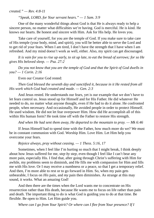*created." — Rev. 4:8-11*

*"Speak, LORD, for Your servant hears." — 1 Sam. 3:9*

One of the many wonderful things about God is that He is always ready to help a sincere person, no matter what difficulties we're having. God is merciful. He is kind. He knows our hearts. Be honest and sincere with Him. Ask for His help. He loves you.

Take care of yourself, for you are the temple of God. If you make sure to take care of His temple (your body, mind, and spirit), you will be better able to serve the Lord and to get rid of your fears. When I am tired, I don't have the strength that I have when I am refreshed. And my mind doesn't work as well, either. Also, my spirit can get discouraged.

It is vain for you to rise up early, to sit up late, to eat the bread of sorrows; for so He *gives His beloved sleep. — Psa. 27:2*

*Do you not know that you are the temple of God and that the Spirit of God dwells in you? — 1 Corin. 2:16*

Even our Creator God rested:

*Then God blessed the seventh day and sanctified it, because in it He rested from all His work which God had created and made. — Gen. 2:3*

And Jesus rested. He understands our fears, yet is our example that we don't have to let fears control us. Jesus stood up for Himself and for His Father. He did whatever He needed to do, no matter what anyone thought, even if He had to do it alone. He confronted people, when necessary. And occasionally, He avoided people in order to protect Himself. He used wisdom. He did not let fear overpower Him. How did He accomplish all of this within His human form? He took time off with the Father to restore His strength.

*And when He had sent them away, He departed to the mountain to pray. — Mk 6:46*

If Jesus Himself had to spend time with the Father, how much more do we? We must be in constant communion with God. Worship Him. Love Him. Let Him help you overcome your fears.

*Rejoice always, pray without ceasing. — 1 Thess. 5:16, 17*

Sometimes, when I feel like I'm hurting so much that I might break, I think deeply about how Jesus suffered for me, *step by step*, even though I feel like I can't bear any more pain, especially His. I find that, after going through Christ's suffering with Him for awhile, my problems seem to diminish, and He fills me with compassion for Him and fills me with His love. Or I may receive a numbness or a peace, so that I get a temporary relief. And then, I'm more able to rest or to go forward in Him. So, when my pain gets unbearable, I focus on *His* pain, and *my* pain then diminishes. As strange at this may sound, it works. What an amazing God!

And then there are the times when the Lord wants me to concentrate on His resurrection rather than His death, because He wants me to focus on life rather than pain and death. The important thing to do is what God is guiding you to do at that time. Be flexible. Be open to Him. Let Him guide you.

*Where can I go from Your Spirit? Or where can I flee from Your presence? If I*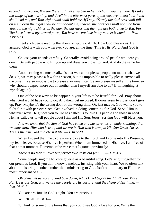ascend into heaven, You are there; if I make my bed in hell, behold, You are there. If I take *the wings of the morning, and dwell in the uttermost parts of the sea, even there Your hand shall lead me, and Your right hand shall hold me. If I say, "Surely the darkness shall fall on me," even the night shall be light about me; indeed, the darkness shall not hide from You, but the night shines as the day; the darkness and the light are both alike to You. For You have formed my inward parts; You have covered me in my mother's womb. — Psa. 139:7-13*

I feel such peace reading the above scriptures. Ahhh. How God blesses us. Be assured. God is with you, wherever you are, all the time. This is His Word. And God is true.

Choose your friends carefully. Generally, avoid being around people who tear you down. Be with people who lift you up and draw you closer to God. And do the same for them.

Another thing we must realize is that we cannot please people, no matter what we do. Oh, we may please a few for a season, but it's impossible to really please anyone all the time. It's also impossible to please *everyone*. I can't even please myself all the time, so why should I expect more out of another than I myself am able to do? (I'm laughing at myself again.)

One of the best ways to be happier in your life is to be fruitful for God. Pray about what God would have you to do. And then, get involved. If doors seem to close, don't give up. Pray. Maybe it's the wrong door or the wrong time. Or, just maybe, God wants you to fight for it with perseverance. Get involved in doing something for God. Serve Him in whatever ways He guides you to. He has called us to love His people and those in need. He has called us to tell people about Him and His Son, Jesus. Serving God will bless you.

*And we know that the Son of God has come and has given us an understanding, that we may know Him who is true; and we are in Him who is true, in His Son Jesus Christ. This is the true God and eternal life. — 1 Jn 5:20*

When I spend the time to draw very close to the Lord, and I come into His Presence, my fears leave, because His love is perfect. When I am immersed in His love, I am free of fear at that moment. Remember the verse that I quoted previously:

*There is no fear in love; but perfect love casts out fear… . — 1 Jn 4:18*

Some people sing the following verse as a beautiful song. Let's sing it together for our precious Lord. If you don't know a melody, just sing with your heart. We so often talk about ministering to others rather than ministering to God. Isn't our ministry to Him the most important of all?

*Oh come, let us worship and bow down; let us kneel before the LORD our Maker.* For He is our God, and we are the people of His pasture, and the sheep of His hand. — *Psa. 95:6, 7*

You are precious in God's sight. You are precious.

WORKSHEET #11—

1. Think of some of the times that you could see God's love for you. Write them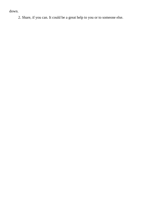down.

2. Share, if you can. It could be a great help to you or to someone else.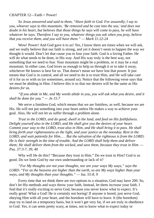## CHAPTER 12—Faith = Power!

*So Jesus answered and said to them, "Have faith in God. For assuredly, I say to you, whoever says to this mountain, 'Be removed and be cast into the sea,' and does not doubt in his heart, but believes that those things he says will come to pass, he will have whatever he says. Therefore I say to you, whatever things you ask when you pray, believe that you receive them, and you will have them." — Mark 11:22-24*

Wow! Power! And God gave it to *us*! Yes, I know there are times when we will ask, and we really believe that our faith is strong, and yet it doesn't seem to happen the way we thought it would. Don't let that cause you to lose your faith. God is a loving Father. He will do what needs to be done, in His way. And His way truly is the best way, not something that we need to fear. Your mountain might be a problem, or it may be a real mountain. In either case, God loves us enough to help us through it or to take it away, whichever He knows is best for us. That doesn't mean we have lost that power. It just means that God is in control, and all we need to do is to trust Him, and He will take care of it for us or with us (or sometimes, around us). Notice that the following verse says that we must be abiding in Him. I believe this is so that our desires will be the same as His desires *for* us.

*"If you abide in Me, and My words abide in you, you will ask what you desire, and it shall be done for you." — Jn 15:7*

We serve a limitless God, which means that we are limitless, as well, because we are His. He will not put something into your heart unless He makes a way to achieve your goal. Also, He will not let us suffer through a problem alone.

*Trust in the LORD, and do good; dwell in the land, and feed on His faithfulness. Delight yourself also in the LORD, and He shall give you the desires of your heart. Commit your way to the LORD, trust also in Him, and He shall bring it to pass. He shall bring forth your righteousness as the light, and your justice as the noonday. Rest in the LORD, and wait patiently for Him… . But the salvation of the righteous is from the LORD; He is their strength in the time of trouble. And the LORD shall help them and deliver them; He shall deliver them from the wicked, and save them, because they trust in Him. — Psa. 37:3-7, 39, 40*

Why will He do this? "Because they trust in Him." Do we trust in Him? God is so good. Do we limit God by our own understanding or lack of it?

*"For My thoughts are not your thoughts, nor are your ways My ways," says the LORD. "For as the heavens are higher than the earth, so are My ways higher than your ways, and My thoughts than your thoughts." — Isa. 55:8, 9*

Every time that we think there are two options to a situation, God may have 200. So, don't let His methods and ways throw your faith. Instead, let them *increase* your faith. I find that it's really exciting to serve God, because you never know what to expect. It's really great! What a God! He is certainly not boring! If anyone is bored, just serve God, obeying Him with all your heart, and the boredom will have to leave. It (the boredom) may try to land on a temporary basis, but it won't get very far, if we are truly in obedience to God. Yes, it can seem pretty scary, at times, not to know what to expect today or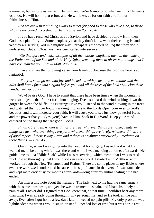tomorrow; but as long as we're in His will, and we're *trying* to do what we think He wants us to do, He will honor that effort, and He will bless us for our faith and for our faithfulness to Him.

*And we know that all things work together for good to those who love God, to those who are the called according to His purpose. — Rom. 8:28*

If you have received Christ as you Savior, and have decided to follow Him, then God has a plan for you. Some people say that they don't know what their calling is, and yet they are serving God in a mighty way. Perhaps it's the word *calling* that they don't understand. But all Christians have been called into service.

*"Go therefore and make disciples of all the nations, baptizing them in the name of* the Father and of the Son and of the Holy Spirit, teaching them to observe all things that I *have commanded you. …" — Matt. 28:19, 20*

I have to share the following verse from Isaiah 55, because the promise here is so fantastic!:

*"For you shall go out with joy, and be led out with peace; the mountains and the hills shall break forth into singing before you, and all the trees of the field shall clap their hands." — Isa. 55:12*

Wow! Praise God! I have to admit that there have been times when the mountains were so majestic that *I* burst forth into singing. I've also heard the wind rushing down the gorges between the bluffs. It's exciting! Have you listened to the wind blowing in the trees and watched their upper boughs waving in praise to the Lord? Open your eyes to God's beauties, and it will increase your faith. It will cause you to see just how powerful He is and the power that you (yes, you!) have in Him. Soak in His Word. Keep your mind centered on the things that are good. Focus.

*Finally, brethren, whatever things are true, whatever things are noble, whatever things are just, whatever things are pure, whatever things are lovely, whatever things are of good report, if there is any virtue and if there is anything praiseworthy—meditate on these things. — Phil. 4:8*

One time, when I was going into the hospital for surgery, I asked God what He wanted me to be doing while I was there and while I was mending at home, afterwards. He guided me to do a "Bible Soak" while I was recovering, which meant that I was to read my Bible so thoroughly that I would soak in every word. I started with Matthew, and worked through the New Testament and Psalms. There are some places in my Bible where even the word *the* is underlined because of its significance in that verse. It was fantastic, and kept me plenty busy for months afterwards—long after my initial healing time had ended.

An interesting note about that surgery: The lady next to me had the same surgery with the same anesthesia, and yet she was in tremendous pain, and I had absolutely no pain at all. I never did. I figured that God knew that, at that time, I couldn't bear any more than what I was already going through in my personal life, and so He took all the pain away. Even after I got home a few days later, I needed no pain pills. My only problem was lightheadedness when I would sit up or stand. I needed lots of rest, but it was a true rest,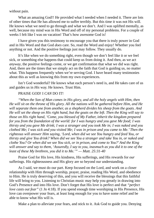without pain.

What an amazing God!! He provided what I needed when I needed it. There are lots of other times that He has allowed me to suffer terribly. But this time it was not His will. He knows what we need to go through and what we don't. And I was uplifted mentally, as well, because my mind was in His Word and off of my personal problems. For a couple of weeks I felt like I was on vacation! That's how awesome God is!

I have given you this testimony to encourage you that there is truly power in God and in His Word and that God *does* care. So, read the Word and enjoy! Whether you feel anything or not. And the positive feelings just may follow. They usually do.

It's like when we do something right, even though we don't feel like it or we feel sick, or something else happens that could keep us from doing it. And then, as we act *anyway*, the positive feelings come, or we get confirmation that what we did was right. And, there are the times that we simply act on the faith that God is guiding us, no matter what. This happens frequently when we're serving God. I have heard many testimonies about this as well as knowing this from my own experiences.

Isn't God wonderful? He knows what each person's need is, and He takes care of us and guides us in *His* way. He knows. Trust Him.

## PRAISE GOD! I *CAN* DO IT!

*"When the Son of Man comes in His glory, and all the holy angels with Him, then He will sit on the throne of His glory. All the nations will be gathered before Him, and He will separate them one from another, as a shepherd divides his sheep from the goats. And* He will set the sheep on His right hand, but the goats on the left. Then the King will say to *those on His right hand, 'Come, you blessed of My Father, inherit the kingdom prepared for you from the foundation of the world: for I was hungry and you gave Me food; I was* thirsty and you gave Me drink; I was a stranger and you took Me in; I was naked and you *clothed Me; I was sick and you visited Me; I was in prison and you came to Me.'Then the righteous will answer Him saying, 'Lord, when did we see You hungry and feed You, or thirsty and give You drink? When did we see You a stranger and take You in, or naked and clothe You? Or when did we see You sick, or in prison, and come to You?'And the King* will answer and say to them, 'Assuredly, I say to you, inasmuch as you did it to one of the *least of these My brethren, you did it to Me.'" — Matt. 25:31-40*

Praise God for His love, His kindness, His sufferings, and His rewards for *our* sufferings. His righteousness and His glory are so beyond our understanding.

As I said, we must do our part. Keep focused on the Lord, and work on a closer relationship with Him through worship, prayer, praise, reading His Word, and obedience to Him. He is truly deserving of this, and you will receive the blessings that this faithful life will bring to you. Listening to Christian music may help you greatly in drawing into God's Presence and into His love. Don't forget that His love is perfect and that *"perfect love casts out fear"* (1 Jn 4:18). If you spend enough time worshiping in His Presence, His love can overpower your fears, at least long enough for you to have some relief and be able to know what His will is.

Make a plan to alleviate your fears, and stick to it. Ask God to guide you. Denying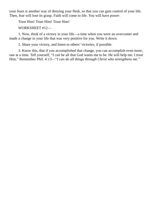your fears is another way of denying your flesh, so that you can gain control of your life. Then, fear will lose its grasp. Faith will come to life. You will have *power*.

Trust Him! Trust Him! Trust Him!

WORKSHEET #12—

1. Now, think of a victory in your life—a time when you were an overcomer and made a change in your life that was very positive for you. Write it down.

2. Share your victory, and listen to others' victories, if possible.

3. Know this, that if you accomplished that change, you can accomplish even more, one at a time. Tell yourself, "*I can* be all that God wants me to be. He will help me. I trust Him." Remember *Phil. 4:13—"I can do all things through Christ who strengthens me."*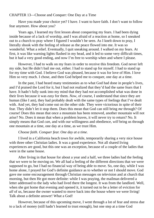CHAPTER 13—Choose and Conquer: One Day at a Time

Have you made your choice yet? I have. I want to have faith. I don't want to follow fear anymore. How about you?

Years ago, I learned my first lesson about conquering my fears. I had been dying inside because of a lack of worship, and I was afraid of a reaction at home, so I sneaked out to a church to pray where I figured I wouldn't be seen. As I knelt down to pray, I literally shook with the feeling of release as the peace flowed into me. It was so wonderful. What a relief. Eventually, I quit sneaking around. I walked on my fears. At first, it was like warning lights flashed in my head, and it led to some very difficult times, but it had a very good ending, and now I'm free to worship when and where I please.

However, I had to walk on my fears in order to receive this freedom. God never left my side, but He didn't bail me out, either. I had to stand up for myself. I had to stand up for my time with God. I believe God was pleased, because it was for love of Him. I love Him so very much. I chose, and then God helped me to conquer, one day at a time.

In the past, I had heard many testimonies as to what God had done in people's lives, and I'd praised the Lord for it, but I had not realized that they'd had the same fears that I have. It hadn't fully sunk into my mind that they had *not* accomplished what was done in their lives because it was *easy* for them. *Now*, of course, I understand that since they are human (like I am), they had probably dealt with the same types of feelings that I've dealt with. And yet, they had come out on the other side. They were victorious in spite of their fear. They didn't let it stop them. Does this mean that God can still bring *me* through? Of course! Does this mean that once a mountain has been removed, another mountain will not arise? No. Does it mean that when a problem leaves, it will never try to return? No. It simply means that God *can*, and with our willingness and obedience, *will* bring us through one mountain at a time, one day at a time, as we trust Him.

## *Choose faith. Conquer fear. One day at a time.*

I lived in a California beach town for awhile, temporarily sharing a very nice house with three other Christian ladies. It was a good experience. Not all shared living experiences are good, but this one was an exception, because of a couple of the ladies that were in the same house.

After living in that house for about a year and a half, we three ladies had the feeling that we were to be moving on. We all had a feeling of the different directions that we were supposed to go, but I had no financial way of being able to move. So, one day, while I was home alone, I prayed for God's definite guidance as to whether or not I should move. God gave me some encouragement through Christian messages on television and at church that morning, but then He got more definite: while I was praying, the mailman delivered a letter addressed to the lady who had lived there the longest. It was from the landlord. Well, when she got home that evening and opened it, it turned out to be a letter of eviction for *all* of us, because the owner wanted to move back into the house where we were living! Talk about a definite answer! What a God!

However, because of this upcoming move, I went through a lot of fear and stress due to a lack of money (still hadn't learned to trust enough), but one step at a time God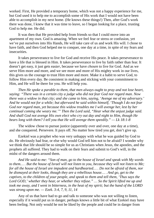worked. First, He provided a temporary home, which was not a happy experience for me, but God used it to help me to accomplish some of His work that I would not have been able to accomplish in my next home. (He knows these things!) Then, after God's work there was done, I knew that it was time to leave, so I began looking for a place, trusting God to help me. He did.

It was then that He provided help from friends so that I could move into an apartment of my own. God is amazing. When we feel fear or stress or confusion, yet we've put ourselves into His Hands, He will take care of us and work His will. I chose to have faith, and then God helped me to conquer, one day at a time, in spite of my fears and insecurities.

It takes perseverance to live for God and receive His peace. It takes perseverance to have a life that is blessed in Him. It takes perseverance to live by faith rather than fear. It doesn't get easy, it just gets easi*er*, because we have *chosen* to live for God. And as we serve Him more and more, and we see more and more of His mighty work in our lives, this gives us the courage to trust Him more and more. Make it a habit to serve God, to follow Him every day. Be consistent in making and sticking with your commitment to Him, and He will be there for you. He will help you.

*Then He spoke a parable to them, that men always ought to pray and not lose heart, saying: "There was in a certain city a judge who did not fear God nor regard man. Now there was a widow in that city; and she came to him, saying, 'Avenge me of my adversary.' And he would not for a while; but afterward he said within himself, 'Though I do not fear God nor regard man, yet because this widow troubles me I will avenge her, lest by her continual coming she weary me.'" Then the Lord said, "Hear what the unjust judge said. And shall God not avenge His own elect who cry out day and night to Him, though He bears long with them? I tell you that He will avenge them speedily." — Lk 18:1-8*

The widow chose to pursue justice (apparently over and over, one day at a time), and she conquered. Persevere. It pays off. No matter how tired you get, don't give up.

Ezekiel was a prophet who was very unhappy with what he was guided by God to do. He obviously had fear, or else why would God tell him not to be afraid? I wonder why we think that life should be so simple for us as Christians when Jesus, the apostles, and the prophets all suffered. They had to walk on their fears and submit to God's will, in the midst of the dangers around them.

*And He said to me: "Son of man, go to the house of Israel and speak with My words* to them..., But the house of Israel will not listen to you, because they will not listen to Me; *for all the house of Israel are impudent and hardhearted… . Do not be afraid of them, nor be dismayed at their looks, though they are a rebellious house… . And go, get to the captives, to the children of your people, and speak to them and tell them, 'Thus says the Lord GOD,' whether they hear, or whether they refuse." … So the Spirit lifted me up and* took me away, and I went in bitterness, in the heat of my spirit; but the hand of the LORD *was strong upon me. — Ezek. 3:4, 7, 9, 11, 14*

Any of us that have had to go and talk to someone who was not willing to listen, especially if it would put us in danger, perhaps knows a little bit of what Ezekiel may have been feeling. Not only would he not be liked by the people and could be in danger from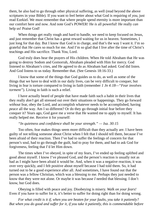them, he also had to go through other physical suffering, as well (read beyond the above scriptures in your Bible). If you want to feel better about what God is requiring of *you*, just read Ezekiel. We must remember that where people spend eternity is more important than our comfort here and now. And note God's POWER! He *is* all powerful! He really *can* help us! Praise God!

When things get really rough and hard to handle, we need to keep focused on Jesus, and just remember that Christ has a great reward waiting for us in heaven. Sometimes, I just long for that day. But I know that God is in charge, and that's the way I want it. I'm so grateful that He cares so much for me. And I'm so glad that I live after the time of Christ's teachings and His sacrifice. Thank You, Lord.

God truly does hear the prayers of His children. When He told Abraham that He was going to destroy Sodom and Gomorrah, Abraham pleaded with Him for mercy. God listened to Abraham's cries, and He agreed to do as Abraham had asked. God did listen. And God listens to us today. Remember that. (See Genesis 18:16-33.)

I know that some of the things that God guides us to do, as well as some of the things that we have to deal with in our daily lives, can be very difficult to conquer, but living in fear is torture compared to living in faith (remember *1 Jn 4:18—"Fear involves torment"*). Living in faith is such a relief.

I have actually heard of people that have made faith such a habit in their lives that they really *don't* get all stressed out over their situations or happenings. They go forward *without* fear, obey the Lord, and accomplish whatever needs to be accomplished, having *peace* all the way. Am I so different? Or do they go through initial fear before they conquer it? Years ago, God gave me a verse that He wanted me to apply to myself. It has really helped me. Receive it for yourself:

## *"In quietness and confidence shall be your strength." — Isa. 30:15*

Too often, fear makes things seem more difficult than they actually are. I have been guilty of not telling someone about Christ when I felt that I should tell them, because I've been afraid of their reaction. Then I've had to suffer the feelings of concern for that person's soul, had to go through the guilt, had to pray for them, and had to ask God for forgiveness, feeling that I'd let Him down.

The times when I've obeyed, in spite of my fears, I've ended up feeling uplifted and good about myself. I know I've pleased God, and the person's reaction is usually not as bad as I might have been afraid it would be. And, when it was a negative reaction, it was over very quickly, and I felt positive about myself because I had told them. So, it had turned out to be a good experience after all. And sometimes, I have found out that the person was a fellow Christian, which was a blessing to me. Perhaps they just needed to know that they were not alone. Or maybe it was because *I* needed that blessing. I don't know, but God does.

Obeying is filled with peace and joy. Disobeying is misery. *Walk on your fears!* Even if you have to suffer for it, it's better to suffer for doing right than for doing wrong.

*For what credit is it if, when you are beaten for your faults, you take it patiently? But when you do good and suffer for it, if you take it patiently, this is commendable before*